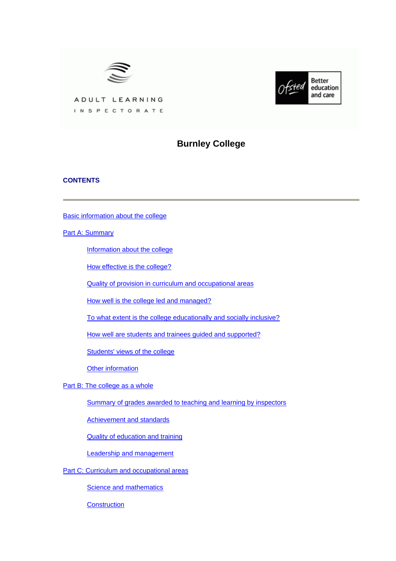



ADULT LEARNING INSPECTORATE

# **Burnley College**

# **CONTENTS**

[Basic information about the college](#page-1-0)

**[Part A: Summary](#page-1-0)** 

[Information about the college](#page-2-0)

[How effective is the college?](#page-2-0)

[Quality of provision in curriculum and occupational areas](#page-4-0)

[How well is the college led and managed?](#page-5-0)

[To what extent is the college educationally and socially inclusive?](#page-5-0)

[How well are students and trainees guided and supported?](#page-6-0)

[Students' views of the college](#page-6-0)

[Other information](#page-7-0)

[Part B: The college as a whole](#page-7-0)

[Summary of grades awarded to teaching and learning by inspectors](#page-8-0)

[Achievement and standards](#page-8-0)

[Quality of education and training](#page-9-0)

[Leadership and management](#page-12-0)

[Part C: Curriculum and occupational areas](#page-13-0)

**[Science and mathematics](#page-13-0)** 

**[Construction](#page-16-0)**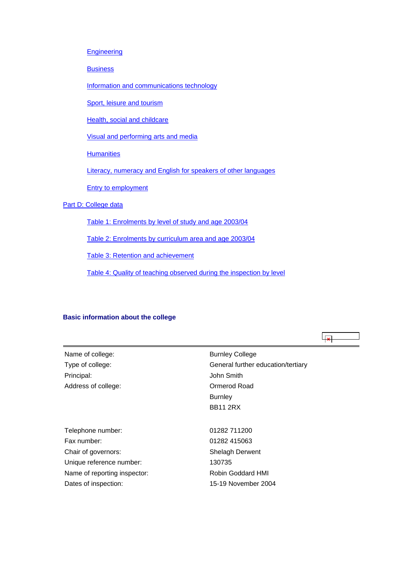#### <span id="page-1-0"></span>**[Engineering](#page-19-0)**

**[Business](#page-22-0)** 

[Information and communications technology](#page-25-0)

[Sport, leisure and tourism](#page-28-0)

[Health, social and childcare](#page-30-0)

[Visual and performing arts and media](#page-33-0)

**[Humanities](#page-36-0)** 

[Literacy, numeracy and English for speakers of other languages](#page-39-0)

[Entry to employment](#page-41-0)

# [Part D: College data](#page-43-0)

[Table 1: Enrolments by level of study and age 2003/04](#page-43-0)

[Table 2: Enrolments by curriculum area and age 2003/04](#page-43-0)

[Table 3: Retention and achievement](#page-44-0)

[Table 4: Quality of teaching observed during the inspection by level](#page-45-0)

# **Basic information about the college**

| Name of college:             | <b>Burnley College</b>             |
|------------------------------|------------------------------------|
| Type of college:             | General further education/tertiary |
| Principal:                   | John Smith                         |
| Address of college:          | Ormerod Road                       |
|                              | <b>Burnley</b>                     |
|                              | <b>BB11 2RX</b>                    |
|                              |                                    |
| Telephone number:            | 01282 711200                       |
| Fax number:                  | 01282 415063                       |
| Chair of governors:          | Shelagh Derwent                    |
| Unique reference number:     | 130735                             |
| Name of reporting inspector: | Robin Goddard HMI                  |
| Dates of inspection:         | 15-19 November 2004                |

 $\overline{+1}$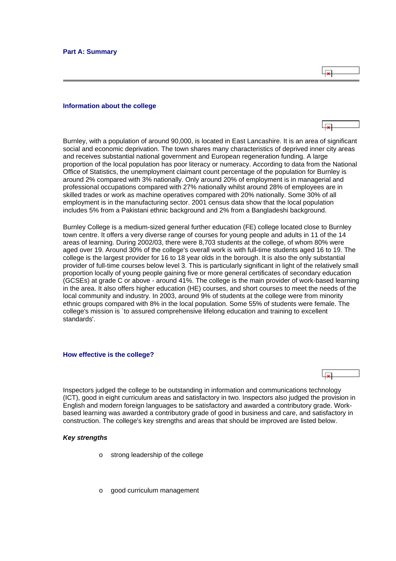ا چا

#### <span id="page-2-0"></span>**Information about the college**

Burnley, with a population of around 90,000, is located in East Lancashire. It is an area of significant social and economic deprivation. The town shares many characteristics of deprived inner city areas and receives substantial national government and European regeneration funding. A large proportion of the local population has poor literacy or numeracy. According to data from the National Office of Statistics, the unemployment claimant count percentage of the population for Burnley is around 2% compared with 3% nationally. Only around 20% of employment is in managerial and professional occupations compared with 27% nationally whilst around 28% of employees are in skilled trades or work as machine operatives compared with 20% nationally. Some 30% of all employment is in the manufacturing sector. 2001 census data show that the local population includes 5% from a Pakistani ethnic background and 2% from a Bangladeshi background.

Burnley College is a medium-sized general further education (FE) college located close to Burnley town centre. It offers a very diverse range of courses for young people and adults in 11 of the 14 areas of learning. During 2002/03, there were 8,703 students at the college, of whom 80% were aged over 19. Around 30% of the college's overall work is with full-time students aged 16 to 19. The college is the largest provider for 16 to 18 year olds in the borough. It is also the only substantial provider of full-time courses below level 3. This is particularly significant in light of the relatively small proportion locally of young people gaining five or more general certificates of secondary education (GCSEs) at grade C or above - around 41%. The college is the main provider of work-based learning in the area. It also offers higher education (HE) courses, and short courses to meet the needs of the local community and industry. In 2003, around 9% of students at the college were from minority ethnic groups compared with 8% in the local population. Some 55% of students were female. The college's mission is `to assured comprehensive lifelong education and training to excellent standards'.

#### **How effective is the college?**

Inspectors judged the college to be outstanding in information and communications technology (ICT), good in eight curriculum areas and satisfactory in two. Inspectors also judged the provision in English and modern foreign languages to be satisfactory and awarded a contributory grade. Workbased learning was awarded a contributory grade of good in business and care, and satisfactory in construction. The college's key strengths and areas that should be improved are listed below.

#### *Key strengths*

- o strong leadership of the college
- o good curriculum management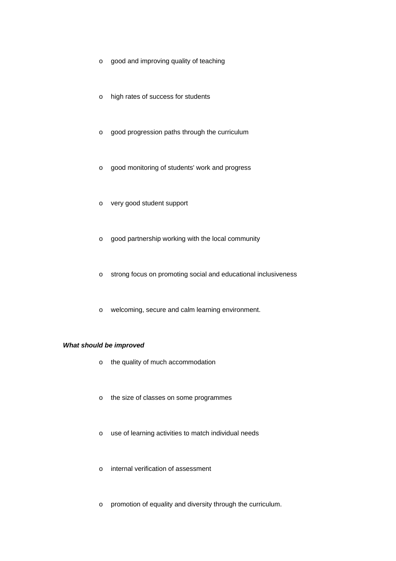- o good and improving quality of teaching
- o high rates of success for students
- o good progression paths through the curriculum
- o good monitoring of students' work and progress
- o very good student support
- o good partnership working with the local community
- o strong focus on promoting social and educational inclusiveness
- o welcoming, secure and calm learning environment.

# *What should be improved*

- o the quality of much accommodation
- o the size of classes on some programmes
- o use of learning activities to match individual needs
- o internal verification of assessment
- o promotion of equality and diversity through the curriculum.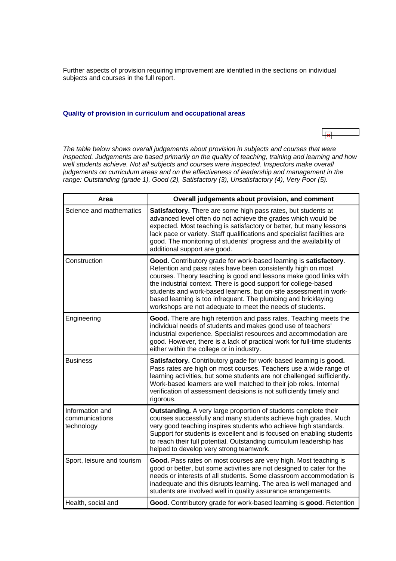<span id="page-4-0"></span>Further aspects of provision requiring improvement are identified in the sections on individual subjects and courses in the full report.

# **Quality of provision in curriculum and occupational areas**

*The table below shows overall judgements about provision in subjects and courses that were inspected. Judgements are based primarily on the quality of teaching, training and learning and how*  well students achieve. Not all subjects and courses were inspected. Inspectors make overall *judgements on curriculum areas and on the effectiveness of leadership and management in the range: Outstanding (grade 1), Good (2), Satisfactory (3), Unsatisfactory (4), Very Poor (5).*

ایجا

| Area                                            | Overall judgements about provision, and comment                                                                                                                                                                                                                                                                                                                                                                                                                               |
|-------------------------------------------------|-------------------------------------------------------------------------------------------------------------------------------------------------------------------------------------------------------------------------------------------------------------------------------------------------------------------------------------------------------------------------------------------------------------------------------------------------------------------------------|
| Science and mathematics                         | Satisfactory. There are some high pass rates, but students at<br>advanced level often do not achieve the grades which would be<br>expected. Most teaching is satisfactory or better, but many lessons<br>lack pace or variety. Staff qualifications and specialist facilities are<br>good. The monitoring of students' progress and the availability of<br>additional support are good.                                                                                       |
| Construction                                    | Good. Contributory grade for work-based learning is satisfactory.<br>Retention and pass rates have been consistently high on most<br>courses. Theory teaching is good and lessons make good links with<br>the industrial context. There is good support for college-based<br>students and work-based learners, but on-site assessment in work-<br>based learning is too infrequent. The plumbing and bricklaying<br>workshops are not adequate to meet the needs of students. |
| Engineering                                     | Good. There are high retention and pass rates. Teaching meets the<br>individual needs of students and makes good use of teachers'<br>industrial experience. Specialist resources and accommodation are<br>good. However, there is a lack of practical work for full-time students<br>either within the college or in industry.                                                                                                                                                |
| <b>Business</b>                                 | Satisfactory. Contributory grade for work-based learning is good.<br>Pass rates are high on most courses. Teachers use a wide range of<br>learning activities, but some students are not challenged sufficiently.<br>Work-based learners are well matched to their job roles. Internal<br>verification of assessment decisions is not sufficiently timely and<br>rigorous.                                                                                                    |
| Information and<br>communications<br>technology | Outstanding. A very large proportion of students complete their<br>courses successfully and many students achieve high grades. Much<br>very good teaching inspires students who achieve high standards.<br>Support for students is excellent and is focused on enabling students<br>to reach their full potential. Outstanding curriculum leadership has<br>helped to develop very strong teamwork.                                                                           |
| Sport, leisure and tourism                      | Good. Pass rates on most courses are very high. Most teaching is<br>good or better, but some activities are not designed to cater for the<br>needs or interests of all students. Some classroom accommodation is<br>inadequate and this disrupts learning. The area is well managed and<br>students are involved well in quality assurance arrangements.                                                                                                                      |
| Health, social and                              | Good. Contributory grade for work-based learning is good. Retention                                                                                                                                                                                                                                                                                                                                                                                                           |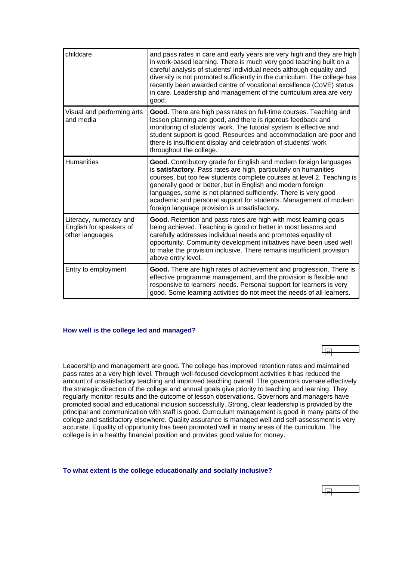<span id="page-5-0"></span>

| childcare                                                            | and pass rates in care and early years are very high and they are high<br>in work-based learning. There is much very good teaching built on a<br>careful analysis of students' individual needs although equality and<br>diversity is not promoted sufficiently in the curriculum. The college has<br>recently been awarded centre of vocational excellence (CoVE) status<br>in care. Leadership and management of the curriculum area are very<br>good.               |
|----------------------------------------------------------------------|------------------------------------------------------------------------------------------------------------------------------------------------------------------------------------------------------------------------------------------------------------------------------------------------------------------------------------------------------------------------------------------------------------------------------------------------------------------------|
| Visual and performing arts<br>and media                              | Good. There are high pass rates on full-time courses. Teaching and<br>lesson planning are good, and there is rigorous feedback and<br>monitoring of students' work. The tutorial system is effective and<br>student support is good. Resources and accommodation are poor and<br>there is insufficient display and celebration of students' work<br>throughout the college.                                                                                            |
| <b>Humanities</b>                                                    | Good. Contributory grade for English and modern foreign languages<br>is satisfactory. Pass rates are high, particularly on humanities<br>courses, but too few students complete courses at level 2. Teaching is<br>generally good or better, but in English and modern foreign<br>languages, some is not planned sufficiently. There is very good<br>academic and personal support for students. Management of modern<br>foreign language provision is unsatisfactory. |
| Literacy, numeracy and<br>English for speakers of<br>other languages | Good. Retention and pass rates are high with most learning goals<br>being achieved. Teaching is good or better in most lessons and<br>carefully addresses individual needs and promotes equality of<br>opportunity. Community development initiatives have been used well<br>to make the provision inclusive. There remains insufficient provision<br>above entry level.                                                                                               |
| Entry to employment                                                  | Good. There are high rates of achievement and progression. There is<br>effective programme management, and the provision is flexible and<br>responsive to learners' needs. Personal support for learners is very<br>good. Some learning activities do not meet the needs of all learners.                                                                                                                                                                              |

#### **How well is the college led and managed?**

Leadership and management are good. The college has improved retention rates and maintained pass rates at a very high level. Through well-focused development activities it has reduced the amount of unsatisfactory teaching and improved teaching overall. The governors oversee effectively the strategic direction of the college and annual goals give priority to teaching and learning. They regularly monitor results and the outcome of lesson observations. Governors and managers have promoted social and educational inclusion successfully. Strong, clear leadership is provided by the principal and communication with staff is good. Curriculum management is good in many parts of the college and satisfactory elsewhere. Quality assurance is managed well and self-assessment is very accurate. Equality of opportunity has been promoted well in many areas of the curriculum. The college is in a healthy financial position and provides good value for money.

#### **To what extent is the college educationally and socially inclusive?**

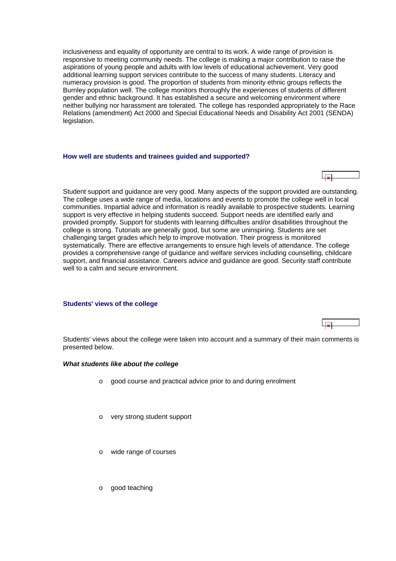<span id="page-6-0"></span>inclusiveness and equality of opportunity are central to its work. A wide range of provision is responsive to meeting community needs. The college is making a major contribution to raise the aspirations of young people and adults with low levels of educational achievement. Very good additional learning support services contribute to the success of many students. Literacy and numeracy provision is good. The proportion of students from minority ethnic groups reflects the Burnley population well. The college monitors thoroughly the experiences of students of different gender and ethnic background. It has established a secure and welcoming environment where neither bullying nor harassment are tolerated. The college has responded appropriately to the Race Relations (amendment) Act 2000 and Special Educational Needs and Disability Act 2001 (SENDA) legislation.

#### **How well are students and trainees guided and supported?**

Student support and guidance are very good. Many aspects of the support provided are outstanding. The college uses a wide range of media, locations and events to promote the college well in local communities. Impartial advice and information is readily available to prospective students. Learning support is very effective in helping students succeed. Support needs are identified early and provided promptly. Support for students with learning difficulties and/or disabilities throughout the college is strong. Tutorials are generally good, but some are uninspiring. Students are set challenging target grades which help to improve motivation. Their progress is monitored systematically. There are effective arrangements to ensure high levels of attendance. The college provides a comprehensive range of guidance and welfare services including counselling, childcare support, and financial assistance. Careers advice and guidance are good. Security staff contribute well to a calm and secure environment.

#### **Students' views of the college**

Students' views about the college were taken into account and a summary of their main comments is presented below.

#### *What students like about the college*

- o good course and practical advice prior to and during enrolment
- o very strong student support
- o wide range of courses
- o good teaching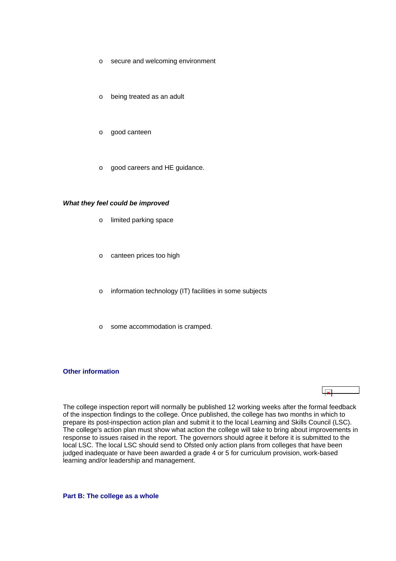- <span id="page-7-0"></span>o secure and welcoming environment
- o being treated as an adult
- o good canteen
- o good careers and HE guidance.

#### *What they feel could be improved*

- o limited parking space
- o canteen prices too high
- o information technology (IT) facilities in some subjects
- o some accommodation is cramped.

#### **Other information**

# $\overline{\phantom{a}}$

The college inspection report will normally be published 12 working weeks after the formal feedback of the inspection findings to the college. Once published, the college has two months in which to prepare its post-inspection action plan and submit it to the local Learning and Skills Council (LSC). The college's action plan must show what action the college will take to bring about improvements in response to issues raised in the report. The governors should agree it before it is submitted to the local LSC. The local LSC should send to Ofsted only action plans from colleges that have been judged inadequate or have been awarded a grade 4 or 5 for curriculum provision, work-based learning and/or leadership and management.

**Part B: The college as a whole**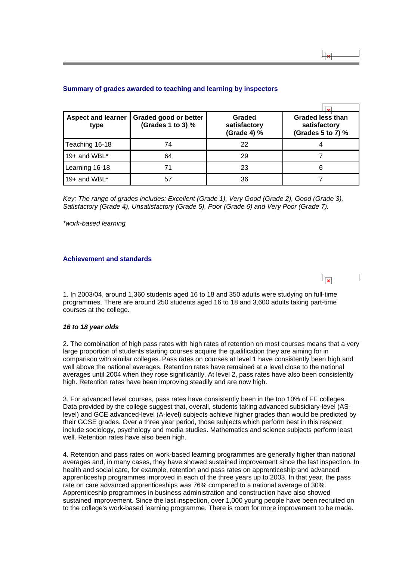| <b>Aspect and learner</b><br>type | Graded good or better<br>(Grades 1 to 3) % | Graded<br>satisfactory<br>(Grade 4) % | <b>Graded less than</b><br>satisfactory<br>(Grades 5 to 7) % |
|-----------------------------------|--------------------------------------------|---------------------------------------|--------------------------------------------------------------|
| Teaching 16-18                    | 74                                         | 22                                    |                                                              |
| 19+ and WBL $*$                   | 64                                         | 29                                    |                                                              |
| Learning 16-18                    | 71                                         | 23                                    | 6                                                            |
| 19+ and WBL*                      | 57                                         | 36                                    |                                                              |

#### <span id="page-8-0"></span>**Summary of grades awarded to teaching and learning by inspectors**

*Key: The range of grades includes: Excellent (Grade 1), Very Good (Grade 2), Good (Grade 3), Satisfactory (Grade 4), Unsatisfactory (Grade 5), Poor (Grade 6) and Very Poor (Grade 7).*

*\*work-based learning*

# **Achievement and standards**

1. In 2003/04, around 1,360 students aged 16 to 18 and 350 adults were studying on full-time programmes. There are around 250 students aged 16 to 18 and 3,600 adults taking part-time courses at the college.

#### *16 to 18 year olds*

2. The combination of high pass rates with high rates of retention on most courses means that a very large proportion of students starting courses acquire the qualification they are aiming for in comparison with similar colleges. Pass rates on courses at level 1 have consistently been high and well above the national averages. Retention rates have remained at a level close to the national averages until 2004 when they rose significantly. At level 2, pass rates have also been consistently high. Retention rates have been improving steadily and are now high.

3. For advanced level courses, pass rates have consistently been in the top 10% of FE colleges. Data provided by the college suggest that, overall, students taking advanced subsidiary-level (ASlevel) and GCE advanced-level (A-level) subjects achieve higher grades than would be predicted by their GCSE grades. Over a three year period, those subjects which perform best in this respect include sociology, psychology and media studies. Mathematics and science subjects perform least well. Retention rates have also been high.

4. Retention and pass rates on work-based learning programmes are generally higher than national averages and, in many cases, they have showed sustained improvement since the last inspection. In health and social care, for example, retention and pass rates on apprenticeship and advanced apprenticeship programmes improved in each of the three years up to 2003. In that year, the pass rate on care advanced apprenticeships was 76% compared to a national average of 30%. Apprenticeship programmes in business administration and construction have also showed sustained improvement. Since the last inspection, over 1,000 young people have been recruited on to the college's work-based learning programme. There is room for more improvement to be made.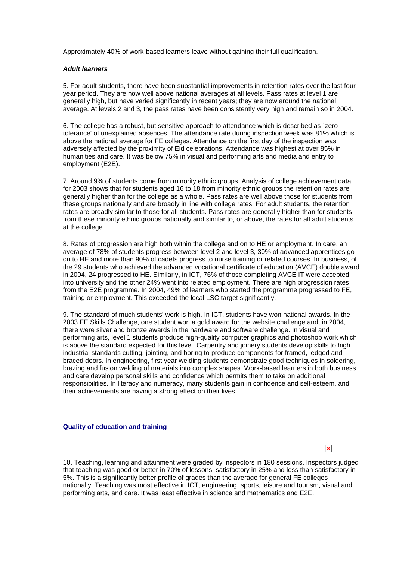<span id="page-9-0"></span>Approximately 40% of work-based learners leave without gaining their full qualification.

#### *Adult learners*

5. For adult students, there have been substantial improvements in retention rates over the last four year period. They are now well above national averages at all levels. Pass rates at level 1 are generally high, but have varied significantly in recent years; they are now around the national average. At levels 2 and 3, the pass rates have been consistently very high and remain so in 2004.

6. The college has a robust, but sensitive approach to attendance which is described as `zero tolerance' of unexplained absences. The attendance rate during inspection week was 81% which is above the national average for FE colleges. Attendance on the first day of the inspection was adversely affected by the proximity of Eid celebrations. Attendance was highest at over 85% in humanities and care. It was below 75% in visual and performing arts and media and entry to employment (E2E).

7. Around 9% of students come from minority ethnic groups. Analysis of college achievement data for 2003 shows that for students aged 16 to 18 from minority ethnic groups the retention rates are generally higher than for the college as a whole. Pass rates are well above those for students from these groups nationally and are broadly in line with college rates. For adult students, the retention rates are broadly similar to those for all students. Pass rates are generally higher than for students from these minority ethnic groups nationally and similar to, or above, the rates for all adult students at the college.

8. Rates of progression are high both within the college and on to HE or employment. In care, an average of 78% of students progress between level 2 and level 3, 30% of advanced apprentices go on to HE and more than 90% of cadets progress to nurse training or related courses. In business, of the 29 students who achieved the advanced vocational certificate of education (AVCE) double award in 2004, 24 progressed to HE. Similarly, in ICT, 76% of those completing AVCE IT were accepted into university and the other 24% went into related employment. There are high progression rates from the E2E programme. In 2004, 49% of learners who started the programme progressed to FE, training or employment. This exceeded the local LSC target significantly.

9. The standard of much students' work is high. In ICT, students have won national awards. In the 2003 FE Skills Challenge, one student won a gold award for the website challenge and, in 2004, there were silver and bronze awards in the hardware and software challenge. In visual and performing arts, level 1 students produce high-quality computer graphics and photoshop work which is above the standard expected for this level. Carpentry and joinery students develop skills to high industrial standards cutting, jointing, and boring to produce components for framed, ledged and braced doors. In engineering, first year welding students demonstrate good techniques in soldering, brazing and fusion welding of materials into complex shapes. Work-based learners in both business and care develop personal skills and confidence which permits them to take on additional responsibilities. In literacy and numeracy, many students gain in confidence and self-esteem, and their achievements are having a strong effect on their lives.

#### **Quality of education and training**

10. Teaching, learning and attainment were graded by inspectors in 180 sessions. Inspectors judged that teaching was good or better in 70% of lessons, satisfactory in 25% and less than satisfactory in 5%. This is a significantly better profile of grades than the average for general FE colleges nationally. Teaching was most effective in ICT, engineering, sports, leisure and tourism, visual and performing arts, and care. It was least effective in science and mathematics and E2E.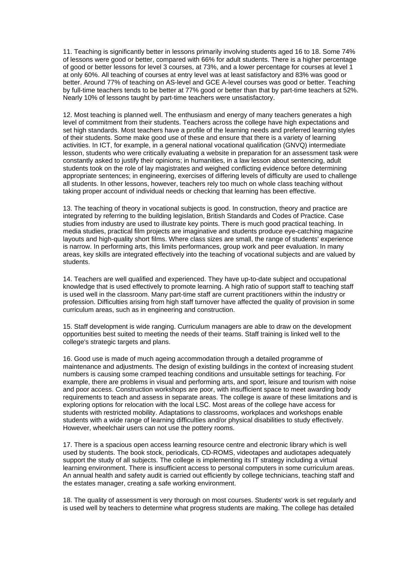11. Teaching is significantly better in lessons primarily involving students aged 16 to 18. Some 74% of lessons were good or better, compared with 66% for adult students. There is a higher percentage of good or better lessons for level 3 courses, at 73%, and a lower percentage for courses at level 1 at only 60%. All teaching of courses at entry level was at least satisfactory and 83% was good or better. Around 77% of teaching on AS-level and GCE A-level courses was good or better. Teaching by full-time teachers tends to be better at 77% good or better than that by part-time teachers at 52%. Nearly 10% of lessons taught by part-time teachers were unsatisfactory.

12. Most teaching is planned well. The enthusiasm and energy of many teachers generates a high level of commitment from their students. Teachers across the college have high expectations and set high standards. Most teachers have a profile of the learning needs and preferred learning styles of their students. Some make good use of these and ensure that there is a variety of learning activities. In ICT, for example, in a general national vocational qualification (GNVQ) intermediate lesson, students who were critically evaluating a website in preparation for an assessment task were constantly asked to justify their opinions; in humanities, in a law lesson about sentencing, adult students took on the role of lay magistrates and weighed conflicting evidence before determining appropriate sentences; in engineering, exercises of differing levels of difficulty are used to challenge all students. In other lessons, however, teachers rely too much on whole class teaching without taking proper account of individual needs or checking that learning has been effective.

13. The teaching of theory in vocational subjects is good. In construction, theory and practice are integrated by referring to the building legislation, British Standards and Codes of Practice. Case studies from industry are used to illustrate key points. There is much good practical teaching. In media studies, practical film projects are imaginative and students produce eye-catching magazine layouts and high-quality short films. Where class sizes are small, the range of students' experience is narrow. In performing arts, this limits performances, group work and peer evaluation. In many areas, key skills are integrated effectively into the teaching of vocational subjects and are valued by students.

14. Teachers are well qualified and experienced. They have up-to-date subject and occupational knowledge that is used effectively to promote learning. A high ratio of support staff to teaching staff is used well in the classroom. Many part-time staff are current practitioners within the industry or profession. Difficulties arising from high staff turnover have affected the quality of provision in some curriculum areas, such as in engineering and construction.

15. Staff development is wide ranging. Curriculum managers are able to draw on the development opportunities best suited to meeting the needs of their teams. Staff training is linked well to the college's strategic targets and plans.

16. Good use is made of much ageing accommodation through a detailed programme of maintenance and adjustments. The design of existing buildings in the context of increasing student numbers is causing some cramped teaching conditions and unsuitable settings for teaching. For example, there are problems in visual and performing arts, and sport, leisure and tourism with noise and poor access. Construction workshops are poor, with insufficient space to meet awarding body requirements to teach and assess in separate areas. The college is aware of these limitations and is exploring options for relocation with the local LSC. Most areas of the college have access for students with restricted mobility. Adaptations to classrooms, workplaces and workshops enable students with a wide range of learning difficulties and/or physical disabilities to study effectively. However, wheelchair users can not use the pottery rooms.

17. There is a spacious open access learning resource centre and electronic library which is well used by students. The book stock, periodicals, CD-ROMS, videotapes and audiotapes adequately support the study of all subjects. The college is implementing its IT strategy including a virtual learning environment. There is insufficient access to personal computers in some curriculum areas. An annual health and safety audit is carried out efficiently by college technicians, teaching staff and the estates manager, creating a safe working environment.

18. The quality of assessment is very thorough on most courses. Students' work is set regularly and is used well by teachers to determine what progress students are making. The college has detailed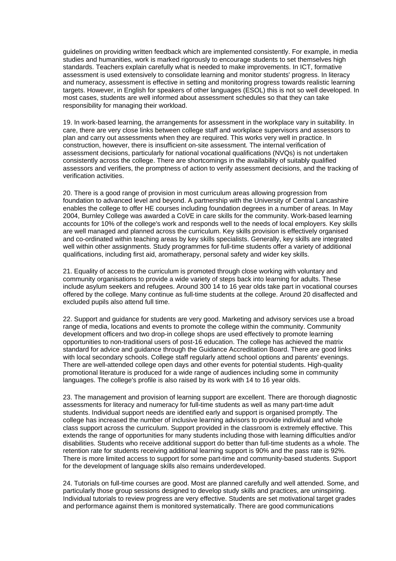guidelines on providing written feedback which are implemented consistently. For example, in media studies and humanities, work is marked rigorously to encourage students to set themselves high standards. Teachers explain carefully what is needed to make improvements. In ICT, formative assessment is used extensively to consolidate learning and monitor students' progress. In literacy and numeracy, assessment is effective in setting and monitoring progress towards realistic learning targets. However, in English for speakers of other languages (ESOL) this is not so well developed. In most cases, students are well informed about assessment schedules so that they can take responsibility for managing their workload.

19. In work-based learning, the arrangements for assessment in the workplace vary in suitability. In care, there are very close links between college staff and workplace supervisors and assessors to plan and carry out assessments when they are required. This works very well in practice. In construction, however, there is insufficient on-site assessment. The internal verification of assessment decisions, particularly for national vocational qualifications (NVQs) is not undertaken consistently across the college. There are shortcomings in the availability of suitably qualified assessors and verifiers, the promptness of action to verify assessment decisions, and the tracking of verification activities.

20. There is a good range of provision in most curriculum areas allowing progression from foundation to advanced level and beyond. A partnership with the University of Central Lancashire enables the college to offer HE courses including foundation degrees in a number of areas. In May 2004, Burnley College was awarded a CoVE in care skills for the community. Work-based learning accounts for 10% of the college's work and responds well to the needs of local employers. Key skills are well managed and planned across the curriculum. Key skills provision is effectively organised and co-ordinated within teaching areas by key skills specialists. Generally, key skills are integrated well within other assignments. Study programmes for full-time students offer a variety of additional qualifications, including first aid, aromatherapy, personal safety and wider key skills.

21. Equality of access to the curriculum is promoted through close working with voluntary and community organisations to provide a wide variety of steps back into learning for adults. These include asylum seekers and refugees. Around 300 14 to 16 year olds take part in vocational courses offered by the college. Many continue as full-time students at the college. Around 20 disaffected and excluded pupils also attend full time.

22. Support and guidance for students are very good. Marketing and advisory services use a broad range of media, locations and events to promote the college within the community. Community development officers and two drop-in college shops are used effectively to promote learning opportunities to non-traditional users of post-16 education. The college has achieved the matrix standard for advice and guidance through the Guidance Accreditation Board. There are good links with local secondary schools. College staff regularly attend school options and parents' evenings. There are well-attended college open days and other events for potential students. High-quality promotional literature is produced for a wide range of audiences including some in community languages. The college's profile is also raised by its work with 14 to 16 year olds.

23. The management and provision of learning support are excellent. There are thorough diagnostic assessments for literacy and numeracy for full-time students as well as many part-time adult students. Individual support needs are identified early and support is organised promptly. The college has increased the number of inclusive learning advisors to provide individual and whole class support across the curriculum. Support provided in the classroom is extremely effective. This extends the range of opportunities for many students including those with learning difficulties and/or disabilities. Students who receive additional support do better than full-time students as a whole. The retention rate for students receiving additional learning support is 90% and the pass rate is 92%. There is more limited access to support for some part-time and community-based students. Support for the development of language skills also remains underdeveloped.

24. Tutorials on full-time courses are good. Most are planned carefully and well attended. Some, and particularly those group sessions designed to develop study skills and practices, are uninspiring. Individual tutorials to review progress are very effective. Students are set motivational target grades and performance against them is monitored systematically. There are good communications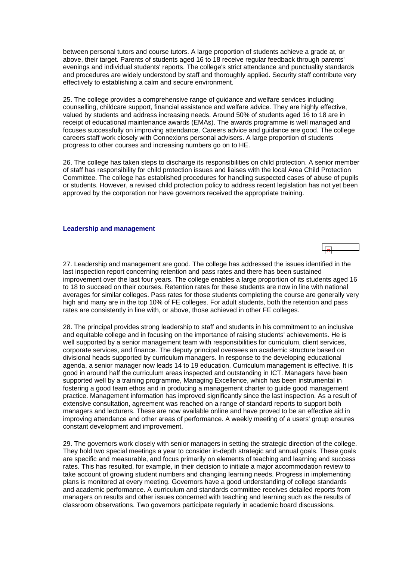<span id="page-12-0"></span>between personal tutors and course tutors. A large proportion of students achieve a grade at, or above, their target. Parents of students aged 16 to 18 receive regular feedback through parents' evenings and individual students' reports. The college's strict attendance and punctuality standards and procedures are widely understood by staff and thoroughly applied. Security staff contribute very effectively to establishing a calm and secure environment.

25. The college provides a comprehensive range of guidance and welfare services including counselling, childcare support, financial assistance and welfare advice. They are highly effective, valued by students and address increasing needs. Around 50% of students aged 16 to 18 are in receipt of educational maintenance awards (EMAs). The awards programme is well managed and focuses successfully on improving attendance. Careers advice and guidance are good. The college careers staff work closely with Connexions personal advisers. A large proportion of students progress to other courses and increasing numbers go on to HE.

26. The college has taken steps to discharge its responsibilities on child protection. A senior member of staff has responsibility for child protection issues and liaises with the local Area Child Protection Committee. The college has established procedures for handling suspected cases of abuse of pupils or students. However, a revised child protection policy to address recent legislation has not yet been approved by the corporation nor have governors received the appropriate training.

#### **Leadership and management**



27. Leadership and management are good. The college has addressed the issues identified in the last inspection report concerning retention and pass rates and there has been sustained improvement over the last four years. The college enables a large proportion of its students aged 16 to 18 to succeed on their courses. Retention rates for these students are now in line with national averages for similar colleges. Pass rates for those students completing the course are generally very high and many are in the top 10% of FE colleges. For adult students, both the retention and pass rates are consistently in line with, or above, those achieved in other FE colleges.

28. The principal provides strong leadership to staff and students in his commitment to an inclusive and equitable college and in focusing on the importance of raising students' achievements. He is well supported by a senior management team with responsibilities for curriculum, client services, corporate services, and finance. The deputy principal oversees an academic structure based on divisional heads supported by curriculum managers. In response to the developing educational agenda, a senior manager now leads 14 to 19 education. Curriculum management is effective. It is good in around half the curriculum areas inspected and outstanding in ICT. Managers have been supported well by a training programme, Managing Excellence, which has been instrumental in fostering a good team ethos and in producing a management charter to guide good management practice. Management information has improved significantly since the last inspection. As a result of extensive consultation, agreement was reached on a range of standard reports to support both managers and lecturers. These are now available online and have proved to be an effective aid in improving attendance and other areas of performance. A weekly meeting of a users' group ensures constant development and improvement.

29. The governors work closely with senior managers in setting the strategic direction of the college. They hold two special meetings a year to consider in-depth strategic and annual goals. These goals are specific and measurable, and focus primarily on elements of teaching and learning and success rates. This has resulted, for example, in their decision to initiate a major accommodation review to take account of growing student numbers and changing learning needs. Progress in implementing plans is monitored at every meeting. Governors have a good understanding of college standards and academic performance. A curriculum and standards committee receives detailed reports from managers on results and other issues concerned with teaching and learning such as the results of classroom observations. Two governors participate regularly in academic board discussions.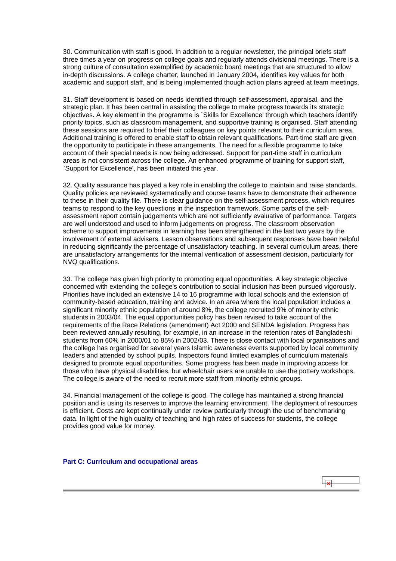<span id="page-13-0"></span>30. Communication with staff is good. In addition to a regular newsletter, the principal briefs staff three times a year on progress on college goals and regularly attends divisional meetings. There is a strong culture of consultation exemplified by academic board meetings that are structured to allow in-depth discussions. A college charter, launched in January 2004, identifies key values for both academic and support staff, and is being implemented though action plans agreed at team meetings.

31. Staff development is based on needs identified through self-assessment, appraisal, and the strategic plan. It has been central in assisting the college to make progress towards its strategic objectives. A key element in the programme is `Skills for Excellence' through which teachers identify priority topics, such as classroom management, and supportive training is organised. Staff attending these sessions are required to brief their colleagues on key points relevant to their curriculum area. Additional training is offered to enable staff to obtain relevant qualifications. Part-time staff are given the opportunity to participate in these arrangements. The need for a flexible programme to take account of their special needs is now being addressed. Support for part-time staff in curriculum areas is not consistent across the college. An enhanced programme of training for support staff, `Support for Excellence', has been initiated this year.

32. Quality assurance has played a key role in enabling the college to maintain and raise standards. Quality policies are reviewed systematically and course teams have to demonstrate their adherence to these in their quality file. There is clear guidance on the self-assessment process, which requires teams to respond to the key questions in the inspection framework. Some parts of the selfassessment report contain judgements which are not sufficiently evaluative of performance. Targets are well understood and used to inform judgements on progress. The classroom observation scheme to support improvements in learning has been strengthened in the last two years by the involvement of external advisers. Lesson observations and subsequent responses have been helpful in reducing significantly the percentage of unsatisfactory teaching. In several curriculum areas, there are unsatisfactory arrangements for the internal verification of assessment decision, particularly for NVQ qualifications.

33. The college has given high priority to promoting equal opportunities. A key strategic objective concerned with extending the college's contribution to social inclusion has been pursued vigorously. Priorities have included an extensive 14 to 16 programme with local schools and the extension of community-based education, training and advice. In an area where the local population includes a significant minority ethnic population of around 8%, the college recruited 9% of minority ethnic students in 2003/04. The equal opportunities policy has been revised to take account of the requirements of the Race Relations (amendment) Act 2000 and SENDA legislation. Progress has been reviewed annually resulting, for example, in an increase in the retention rates of Bangladeshi students from 60% in 2000/01 to 85% in 2002/03. There is close contact with local organisations and the college has organised for several years Islamic awareness events supported by local community leaders and attended by school pupils. Inspectors found limited examples of curriculum materials designed to promote equal opportunities. Some progress has been made in improving access for those who have physical disabilities, but wheelchair users are unable to use the pottery workshops. The college is aware of the need to recruit more staff from minority ethnic groups.

34. Financial management of the college is good. The college has maintained a strong financial position and is using its reserves to improve the learning environment. The deployment of resources is efficient. Costs are kept continually under review particularly through the use of benchmarking data. In light of the high quality of teaching and high rates of success for students, the college provides good value for money.

**Part C: Curriculum and occupational areas**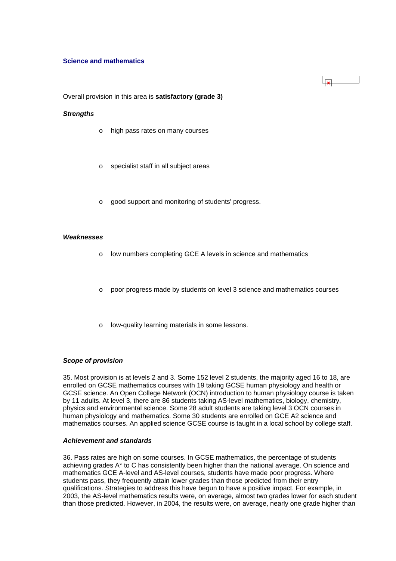#### **Science and mathematics**

Overall provision in this area is **satisfactory (grade 3)**

#### *Strengths*

- o high pass rates on many courses
- o specialist staff in all subject areas
- o good support and monitoring of students' progress.

#### *Weaknesses*

- o low numbers completing GCE A levels in science and mathematics
- o poor progress made by students on level 3 science and mathematics courses
- o low-quality learning materials in some lessons.

#### *Scope of provision*

35. Most provision is at levels 2 and 3. Some 152 level 2 students, the majority aged 16 to 18, are enrolled on GCSE mathematics courses with 19 taking GCSE human physiology and health or GCSE science. An Open College Network (OCN) introduction to human physiology course is taken by 11 adults. At level 3, there are 86 students taking AS-level mathematics, biology, chemistry, physics and environmental science. Some 28 adult students are taking level 3 OCN courses in human physiology and mathematics. Some 30 students are enrolled on GCE A2 science and mathematics courses. An applied science GCSE course is taught in a local school by college staff.

# *Achievement and standards*

36. Pass rates are high on some courses. In GCSE mathematics, the percentage of students achieving grades A\* to C has consistently been higher than the national average. On science and mathematics GCE A-level and AS-level courses, students have made poor progress. Where students pass, they frequently attain lower grades than those predicted from their entry qualifications. Strategies to address this have begun to have a positive impact. For example, in 2003, the AS-level mathematics results were, on average, almost two grades lower for each student than those predicted. However, in 2004, the results were, on average, nearly one grade higher than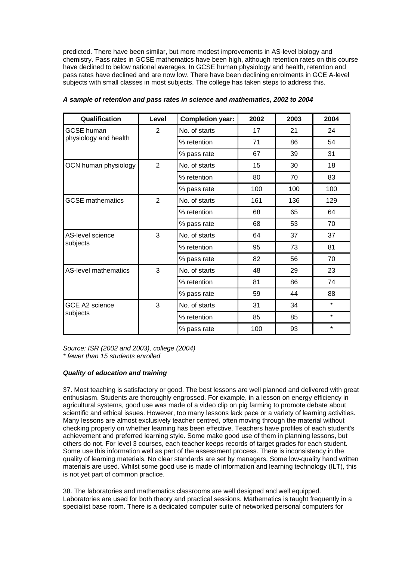predicted. There have been similar, but more modest improvements in AS-level biology and chemistry. Pass rates in GCSE mathematics have been high, although retention rates on this course have declined to below national averages. In GCSE human physiology and health, retention and pass rates have declined and are now low. There have been declining enrolments in GCE A-level subjects with small classes in most subjects. The college has taken steps to address this.

| Qualification                     | Level          | <b>Completion year:</b> | 2002 | 2003 | 2004    |
|-----------------------------------|----------------|-------------------------|------|------|---------|
| <b>GCSE</b> human                 | $\overline{2}$ | No. of starts           | 17   | 21   | 24      |
| physiology and health             |                | % retention             | 71   | 86   | 54      |
|                                   |                | % pass rate             | 67   | 39   | 31      |
| OCN human physiology              | $\overline{2}$ | No. of starts           | 15   | 30   | 18      |
|                                   |                | % retention             | 80   | 70   | 83      |
|                                   |                | % pass rate             | 100  | 100  | 100     |
| <b>GCSE</b> mathematics           | $\overline{2}$ | No. of starts           | 161  | 136  | 129     |
|                                   |                | % retention             | 68   | 65   | 64      |
|                                   |                | % pass rate             | 68   | 53   | 70      |
| AS-level science<br>subjects      | 3              | No. of starts           | 64   | 37   | 37      |
|                                   |                | % retention             | 95   | 73   | 81      |
|                                   |                | % pass rate             | 82   | 56   | 70      |
| <b>AS-level mathematics</b>       | 3              | No. of starts           | 48   | 29   | 23      |
|                                   |                | % retention             | 81   | 86   | 74      |
|                                   |                | % pass rate             | 59   | 44   | 88      |
| <b>GCE A2 science</b><br>subjects | 3              | No. of starts           | 31   | 34   | $\star$ |
|                                   |                | % retention             | 85   | 85   | $\star$ |
|                                   |                | % pass rate             | 100  | 93   | $\star$ |

*A sample of retention and pass rates in science and mathematics, 2002 to 2004*

*Source: ISR (2002 and 2003), college (2004) \* fewer than 15 students enrolled*

# *Quality of education and training*

37. Most teaching is satisfactory or good. The best lessons are well planned and delivered with great enthusiasm. Students are thoroughly engrossed. For example, in a lesson on energy efficiency in agricultural systems, good use was made of a video clip on pig farming to promote debate about scientific and ethical issues. However, too many lessons lack pace or a variety of learning activities. Many lessons are almost exclusively teacher centred, often moving through the material without checking properly on whether learning has been effective. Teachers have profiles of each student's achievement and preferred learning style. Some make good use of them in planning lessons, but others do not. For level 3 courses, each teacher keeps records of target grades for each student. Some use this information well as part of the assessment process. There is inconsistency in the quality of learning materials. No clear standards are set by managers. Some low-quality hand written materials are used. Whilst some good use is made of information and learning technology (ILT), this is not yet part of common practice.

38. The laboratories and mathematics classrooms are well designed and well equipped. Laboratories are used for both theory and practical sessions. Mathematics is taught frequently in a specialist base room. There is a dedicated computer suite of networked personal computers for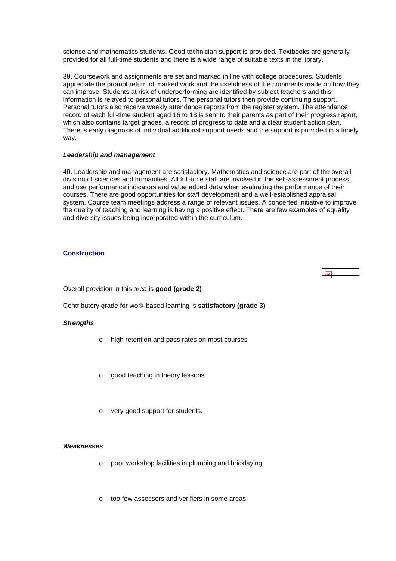<span id="page-16-0"></span>science and mathematics students. Good technician support is provided. Textbooks are generally provided for all full-time students and there is a wide range of suitable texts in the library.

39. Coursework and assignments are set and marked in line with college procedures. Students appreciate the prompt return of marked work and the usefulness of the comments made on how they can improve. Students at risk of underperforming are identified by subject teachers and this information is relayed to personal tutors. The personal tutors then provide continuing support. Personal tutors also receive weekly attendance reports from the register system. The attendance record of each full-time student aged 16 to 18 is sent to their parents as part of their progress report, which also contains target grades, a record of progress to date and a clear student action plan. There is early diagnosis of individual additional support needs and the support is provided in a timely way.

#### *Leadership and management*

40. Leadership and management are satisfactory. Mathematics and science are part of the overall division of sciences and humanities. All full-time staff are involved in the self-assessment process, and use performance indicators and value added data when evaluating the performance of their courses. There are good opportunities for staff development and a well-established appraisal system. Course team meetings address a range of relevant issues. A concerted initiative to improve the quality of teaching and learning is having a positive effect. There are few examples of equality and diversity issues being incorporated within the curriculum.

# **Construction**

Overall provision in this area is **good (grade 2)** 

Contributory grade for work-based learning is **satisfactory (grade 3)**

#### *Strengths*

- high retention and pass rates on most courses
- good teaching in theory lessons
- very good support for students.

#### *Weaknesses*

- o poor workshop facilities in plumbing and bricklaying
- too few assessors and verifiers in some areas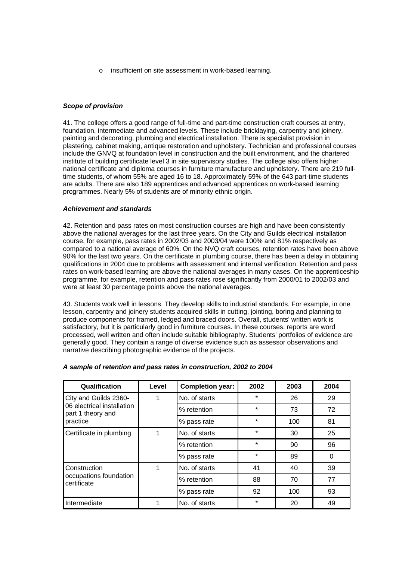o insufficient on site assessment in work-based learning.

# *Scope of provision*

41. The college offers a good range of full-time and part-time construction craft courses at entry, foundation, intermediate and advanced levels. These include bricklaying, carpentry and joinery, painting and decorating, plumbing and electrical installation. There is specialist provision in plastering, cabinet making, antique restoration and upholstery. Technician and professional courses include the GNVQ at foundation level in construction and the built environment, and the chartered institute of building certificate level 3 in site supervisory studies. The college also offers higher national certificate and diploma courses in furniture manufacture and upholstery. There are 219 fulltime students, of whom 55% are aged 16 to 18. Approximately 59% of the 643 part-time students are adults. There are also 189 apprentices and advanced apprentices on work-based learning programmes. Nearly 5% of students are of minority ethnic origin.

#### *Achievement and standards*

42. Retention and pass rates on most construction courses are high and have been consistently above the national averages for the last three years. On the City and Guilds electrical installation course, for example, pass rates in 2002/03 and 2003/04 were 100% and 81% respectively as compared to a national average of 60%. On the NVQ craft courses, retention rates have been above 90% for the last two years. On the certificate in plumbing course, there has been a delay in obtaining qualifications in 2004 due to problems with assessment and internal verification. Retention and pass rates on work-based learning are above the national averages in many cases. On the apprenticeship programme, for example, retention and pass rates rose significantly from 2000/01 to 2002/03 and were at least 30 percentage points above the national averages.

43. Students work well in lessons. They develop skills to industrial standards. For example, in one lesson, carpentry and joinery students acquired skills in cutting, jointing, boring and planning to produce components for framed, ledged and braced doors. Overall, students' written work is satisfactory, but it is particularly good in furniture courses. In these courses, reports are word processed, well written and often include suitable bibliography. Students' portfolios of evidence are generally good. They contain a range of diverse evidence such as assessor observations and narrative describing photographic evidence of the projects.

| Qualification                                   | Level | <b>Completion year:</b> | 2002    | 2003 | 2004 |
|-------------------------------------------------|-------|-------------------------|---------|------|------|
| City and Guilds 2360-                           | 1     | No. of starts           | $\star$ | 26   | 29   |
| 06 electrical installation<br>part 1 theory and |       | % retention             | $\star$ | 73   | 72   |
| practice                                        |       | % pass rate             | $\star$ | 100  | 81   |
| Certificate in plumbing                         | 1     | No. of starts           | $\star$ | 30   | 25   |
|                                                 |       | % retention             | $\star$ | 90   | 96   |
|                                                 |       | % pass rate             | $\star$ | 89   | 0    |
| Construction                                    | 1     | No. of starts           | 41      | 40   | 39   |
| occupations foundation<br>certificate           |       | % retention             | 88      | 70   | 77   |
|                                                 |       | % pass rate             | 92      | 100  | 93   |
| Intermediate                                    |       | No. of starts           | $\star$ | 20   | 49   |

#### *A sample of retention and pass rates in construction, 2002 to 2004*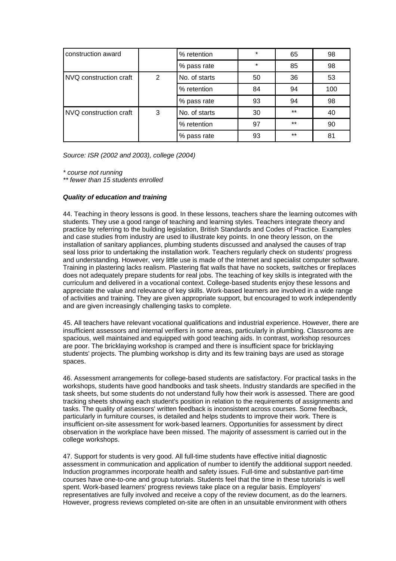| construction award     |   | % retention   | $\star$ | 65    | 98  |
|------------------------|---|---------------|---------|-------|-----|
|                        |   | % pass rate   | $\star$ | 85    | 98  |
| NVQ construction craft | 2 | No. of starts | 50      | 36    | 53  |
|                        |   | % retention   | 84      | 94    | 100 |
|                        |   | % pass rate   | 93      | 94    | 98  |
| NVQ construction craft | 3 | No. of starts | 30      | $***$ | 40  |
|                        |   | % retention   | 97      | $***$ | 90  |
|                        |   | % pass rate   | 93      | $***$ | 81  |

*Source: ISR (2002 and 2003), college (2004)*

*\* course not running* 

*\*\* fewer than 15 students enrolled*

#### *Quality of education and training*

44. Teaching in theory lessons is good. In these lessons, teachers share the learning outcomes with students. They use a good range of teaching and learning styles. Teachers integrate theory and practice by referring to the building legislation, British Standards and Codes of Practice. Examples and case studies from industry are used to illustrate key points. In one theory lesson, on the installation of sanitary appliances, plumbing students discussed and analysed the causes of trap seal loss prior to undertaking the installation work. Teachers regularly check on students' progress and understanding. However, very little use is made of the Internet and specialist computer software. Training in plastering lacks realism. Plastering flat walls that have no sockets, switches or fireplaces does not adequately prepare students for real jobs. The teaching of key skills is integrated with the curriculum and delivered in a vocational context. College-based students enjoy these lessons and appreciate the value and relevance of key skills. Work-based learners are involved in a wide range of activities and training. They are given appropriate support, but encouraged to work independently and are given increasingly challenging tasks to complete.

45. All teachers have relevant vocational qualifications and industrial experience. However, there are insufficient assessors and internal verifiers in some areas, particularly in plumbing. Classrooms are spacious, well maintained and equipped with good teaching aids. In contrast, workshop resources are poor. The bricklaying workshop is cramped and there is insufficient space for bricklaying students' projects. The plumbing workshop is dirty and its few training bays are used as storage spaces.

46. Assessment arrangements for college-based students are satisfactory. For practical tasks in the workshops, students have good handbooks and task sheets. Industry standards are specified in the task sheets, but some students do not understand fully how their work is assessed. There are good tracking sheets showing each student's position in relation to the requirements of assignments and tasks. The quality of assessors' written feedback is inconsistent across courses. Some feedback, particularly in furniture courses, is detailed and helps students to improve their work. There is insufficient on-site assessment for work-based learners. Opportunities for assessment by direct observation in the workplace have been missed. The majority of assessment is carried out in the college workshops.

47. Support for students is very good. All full-time students have effective initial diagnostic assessment in communication and application of number to identify the additional support needed. Induction programmes incorporate health and safety issues. Full-time and substantive part-time courses have one-to-one and group tutorials. Students feel that the time in these tutorials is well spent. Work-based learners' progress reviews take place on a regular basis. Employers' representatives are fully involved and receive a copy of the review document, as do the learners. However, progress reviews completed on-site are often in an unsuitable environment with others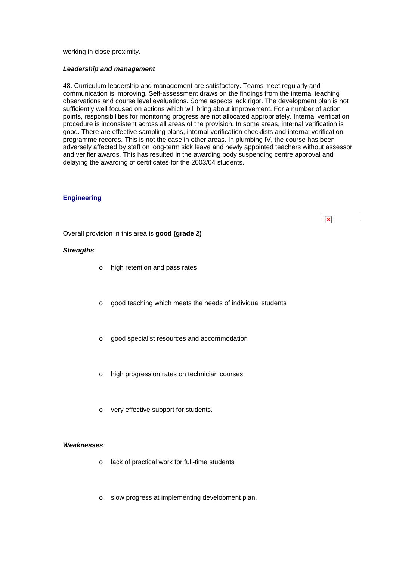#### <span id="page-19-0"></span>working in close proximity.

#### *Leadership and management*

48. Curriculum leadership and management are satisfactory. Teams meet regularly and communication is improving. Self-assessment draws on the findings from the internal teaching observations and course level evaluations. Some aspects lack rigor. The development plan is not sufficiently well focused on actions which will bring about improvement. For a number of action points, responsibilities for monitoring progress are not allocated appropriately. Internal verification procedure is inconsistent across all areas of the provision. In some areas, internal verification is good. There are effective sampling plans, internal verification checklists and internal verification programme records. This is not the case in other areas. In plumbing IV, the course has been adversely affected by staff on long-term sick leave and newly appointed teachers without assessor and verifier awards. This has resulted in the awarding body suspending centre approval and delaying the awarding of certificates for the 2003/04 students.

 $\overline{|\mathbf{x}|}$ 

#### **Engineering**

Overall provision in this area is **good (grade 2)**

#### *Strengths*

- o high retention and pass rates
- o good teaching which meets the needs of individual students
- o good specialist resources and accommodation
- o high progression rates on technician courses
- o very effective support for students.

#### *Weaknesses*

- o lack of practical work for full-time students
- o slow progress at implementing development plan.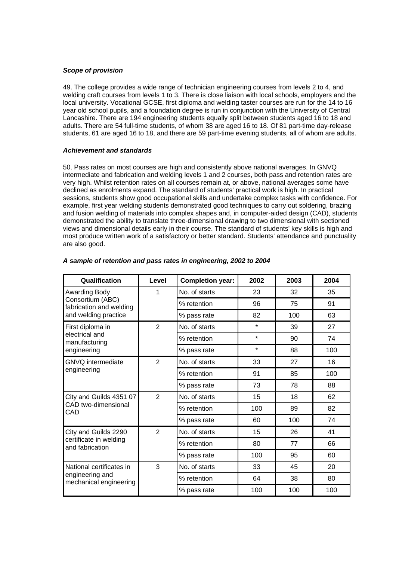# *Scope of provision*

49. The college provides a wide range of technician engineering courses from levels 2 to 4, and welding craft courses from levels 1 to 3. There is close liaison with local schools, employers and the local university. Vocational GCSE, first diploma and welding taster courses are run for the 14 to 16 year old school pupils, and a foundation degree is run in conjunction with the University of Central Lancashire. There are 194 engineering students equally split between students aged 16 to 18 and adults. There are 54 full-time students, of whom 38 are aged 16 to 18. Of 81 part-time day-release students, 61 are aged 16 to 18, and there are 59 part-time evening students, all of whom are adults.

# *Achievement and standards*

50. Pass rates on most courses are high and consistently above national averages. In GNVQ intermediate and fabrication and welding levels 1 and 2 courses, both pass and retention rates are very high. Whilst retention rates on all courses remain at, or above, national averages some have declined as enrolments expand. The standard of students' practical work is high. In practical sessions, students show good occupational skills and undertake complex tasks with confidence. For example, first year welding students demonstrated good techniques to carry out soldering, brazing and fusion welding of materials into complex shapes and, in computer-aided design (CAD), students demonstrated the ability to translate three-dimensional drawing to two dimensional with sectioned views and dimensional details early in their course. The standard of students' key skills is high and most produce written work of a satisfactory or better standard. Students' attendance and punctuality are also good.

| Qualification                                                         | Level          | <b>Completion year:</b> | 2002    | 2003 | 2004 |
|-----------------------------------------------------------------------|----------------|-------------------------|---------|------|------|
| Awarding Body                                                         | 1              | No. of starts           | 23      | 32   | 35   |
| Consortium (ABC)<br>fabrication and welding                           |                | % retention             | 96      | 75   | 91   |
| and welding practice                                                  |                | % pass rate             | 82      | 100  | 63   |
| First diploma in                                                      | $\overline{2}$ | No. of starts           | $\star$ | 39   | 27   |
| electrical and<br>manufacturing                                       |                | % retention             | $\star$ | 90   | 74   |
| engineering                                                           |                | % pass rate             | $\star$ | 88   | 100  |
| <b>GNVQ</b> intermediate                                              | $\overline{2}$ | No. of starts           | 33      | 27   | 16   |
| engineering                                                           |                | % retention             | 91      | 85   | 100  |
|                                                                       |                | % pass rate             | 73      | 78   | 88   |
| City and Guilds 4351 07                                               | $\overline{2}$ | No. of starts           | 15      | 18   | 62   |
| CAD two-dimensional<br>CAD                                            |                | % retention             | 100     | 89   | 82   |
|                                                                       |                | % pass rate             | 60      | 100  | 74   |
| City and Guilds 2290                                                  | $\overline{2}$ | No. of starts           | 15      | 26   | 41   |
| certificate in welding<br>and fabrication                             |                | % retention             | 80      | 77   | 66   |
|                                                                       |                | % pass rate             | 100     | 95   | 60   |
| National certificates in<br>engineering and<br>mechanical engineering | 3              | No. of starts           | 33      | 45   | 20   |
|                                                                       |                | % retention             | 64      | 38   | 80   |
|                                                                       |                | % pass rate             | 100     | 100  | 100  |

# *A sample of retention and pass rates in engineering, 2002 to 2004*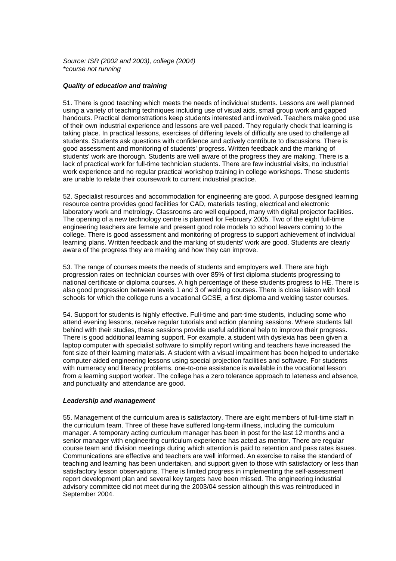*Source: ISR (2002 and 2003), college (2004) \*course not running*

#### *Quality of education and training*

51. There is good teaching which meets the needs of individual students. Lessons are well planned using a variety of teaching techniques including use of visual aids, small group work and gapped handouts. Practical demonstrations keep students interested and involved. Teachers make good use of their own industrial experience and lessons are well paced. They regularly check that learning is taking place. In practical lessons, exercises of differing levels of difficulty are used to challenge all students. Students ask questions with confidence and actively contribute to discussions. There is good assessment and monitoring of students' progress. Written feedback and the marking of students' work are thorough. Students are well aware of the progress they are making. There is a lack of practical work for full-time technician students. There are few industrial visits, no industrial work experience and no regular practical workshop training in college workshops. These students are unable to relate their coursework to current industrial practice.

52. Specialist resources and accommodation for engineering are good. A purpose designed learning resource centre provides good facilities for CAD, materials testing, electrical and electronic laboratory work and metrology. Classrooms are well equipped, many with digital projector facilities. The opening of a new technology centre is planned for February 2005. Two of the eight full-time engineering teachers are female and present good role models to school leavers coming to the college. There is good assessment and monitoring of progress to support achievement of individual learning plans. Written feedback and the marking of students' work are good. Students are clearly aware of the progress they are making and how they can improve.

53. The range of courses meets the needs of students and employers well. There are high progression rates on technician courses with over 85% of first diploma students progressing to national certificate or diploma courses. A high percentage of these students progress to HE. There is also good progression between levels 1 and 3 of welding courses. There is close liaison with local schools for which the college runs a vocational GCSE, a first diploma and welding taster courses.

54. Support for students is highly effective. Full-time and part-time students, including some who attend evening lessons, receive regular tutorials and action planning sessions. Where students fall behind with their studies, these sessions provide useful additional help to improve their progress. There is good additional learning support. For example, a student with dyslexia has been given a laptop computer with specialist software to simplify report writing and teachers have increased the font size of their learning materials. A student with a visual impairment has been helped to undertake computer-aided engineering lessons using special projection facilities and software. For students with numeracy and literacy problems, one-to-one assistance is available in the vocational lesson from a learning support worker. The college has a zero tolerance approach to lateness and absence, and punctuality and attendance are good.

#### *Leadership and management*

55. Management of the curriculum area is satisfactory. There are eight members of full-time staff in the curriculum team. Three of these have suffered long-term illness, including the curriculum manager. A temporary acting curriculum manager has been in post for the last 12 months and a senior manager with engineering curriculum experience has acted as mentor. There are regular course team and division meetings during which attention is paid to retention and pass rates issues. Communications are effective and teachers are well informed. An exercise to raise the standard of teaching and learning has been undertaken, and support given to those with satisfactory or less than satisfactory lesson observations. There is limited progress in implementing the self-assessment report development plan and several key targets have been missed. The engineering industrial advisory committee did not meet during the 2003/04 session although this was reintroduced in September 2004.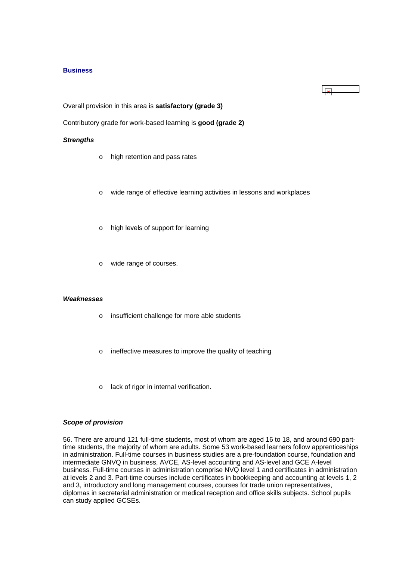#### <span id="page-22-0"></span>**Business**

Overall provision in this area is **satisfactory (grade 3)**

Contributory grade for work-based learning is **good (grade 2)**

#### *Strengths*

- o high retention and pass rates
- o wide range of effective learning activities in lessons and workplaces

 $\sim$ 

- o high levels of support for learning
- o wide range of courses.

#### *Weaknesses*

- o insufficient challenge for more able students
- o ineffective measures to improve the quality of teaching
- o lack of rigor in internal verification.

#### *Scope of provision*

56. There are around 121 full-time students, most of whom are aged 16 to 18, and around 690 parttime students, the majority of whom are adults. Some 53 work-based learners follow apprenticeships in administration. Full-time courses in business studies are a pre-foundation course, foundation and intermediate GNVQ in business, AVCE, AS-level accounting and AS-level and GCE A-level business. Full-time courses in administration comprise NVQ level 1 and certificates in administration at levels 2 and 3. Part-time courses include certificates in bookkeeping and accounting at levels 1, 2 and 3, introductory and long management courses, courses for trade union representatives, diplomas in secretarial administration or medical reception and office skills subjects. School pupils can study applied GCSEs.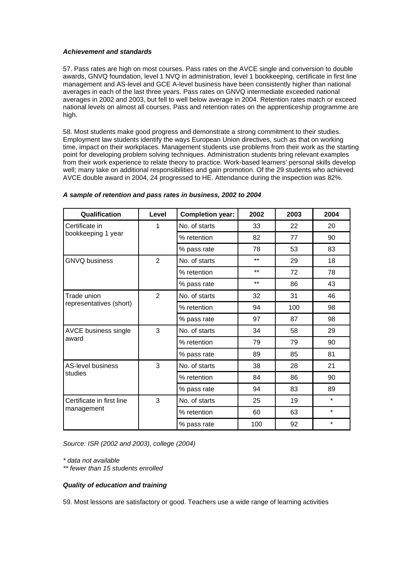# *Achievement and standards*

57. Pass rates are high on most courses. Pass rates on the AVCE single and conversion to double awards, GNVQ foundation, level 1 NVQ in administration, level 1 bookkeeping, certificate in first line management and AS-level and GCE A-level business have been consistently higher than national averages in each of the last three years. Pass rates on GNVQ intermediate exceeded national averages in 2002 and 2003, but fell to well below average in 2004. Retention rates match or exceed national levels on almost all courses. Pass and retention rates on the apprenticeship programme are high.

58. Most students make good progress and demonstrate a strong commitment to their studies. Employment law students identify the ways European Union directives, such as that on working time, impact on their workplaces. Management students use problems from their work as the starting point for developing problem solving techniques. Administration students bring relevant examples from their work experience to relate theory to practice. Work-based learners' personal skills develop well; many take on additional responsibilities and gain promotion. Of the 29 students who achieved AVCE double award in 2004, 24 progressed to HE. Attendance during the inspection was 82%.

| Qualification                       | Level          | <b>Completion year:</b> | 2002  | 2003 | 2004    |
|-------------------------------------|----------------|-------------------------|-------|------|---------|
| Certificate in                      | 1              | No. of starts           | 33    | 22   | 20      |
| bookkeeping 1 year                  |                | % retention             | 82    | 77   | 90      |
|                                     |                | % pass rate             | 78    | 53   | 83      |
| <b>GNVQ business</b>                | $\overline{2}$ | No. of starts           | $***$ | 29   | 18      |
|                                     |                | % retention             | $***$ | 72   | 78      |
|                                     |                | % pass rate             | $***$ | 86   | 43      |
| Trade union                         | $\overline{2}$ | No. of starts           | 32    | 31   | 46      |
| representatives (short)             |                | % retention             | 94    | 100  | 98      |
|                                     |                | % pass rate             | 97    | 87   | 98      |
| AVCE business single                | 3              | No. of starts           | 34    | 58   | 29      |
| award                               |                | % retention             | 79    | 79   | 90      |
|                                     |                | % pass rate             | 89    | 85   | 81      |
| <b>AS-level business</b><br>studies | 3              | No. of starts           | 38    | 28   | 21      |
|                                     |                | % retention             | 84    | 86   | 90      |
|                                     |                | % pass rate             | 94    | 83   | 89      |
| Certificate in first line           | 3              | No. of starts           | 25    | 19   | $\star$ |
| management                          |                | % retention             | 60    | 63   | $\star$ |
|                                     |                | % pass rate             | 100   | 92   | $\star$ |

# *A sample of retention and pass rates in business, 2002 to 2004*

*Source: ISR (2002 and 2003), college (2004)*

*\* data not available* 

*\*\* fewer than 15 students enrolled*

# *Quality of education and training*

59. Most lessons are satisfactory or good. Teachers use a wide range of learning activities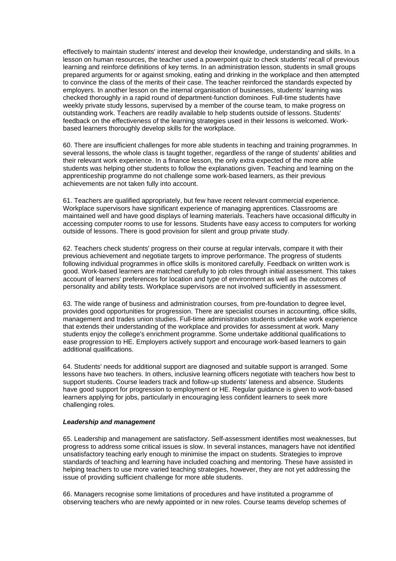effectively to maintain students' interest and develop their knowledge, understanding and skills. In a lesson on human resources, the teacher used a powerpoint quiz to check students' recall of previous learning and reinforce definitions of key terms. In an administration lesson, students in small groups prepared arguments for or against smoking, eating and drinking in the workplace and then attempted to convince the class of the merits of their case. The teacher reinforced the standards expected by employers. In another lesson on the internal organisation of businesses, students' learning was checked thoroughly in a rapid round of department-function dominoes. Full-time students have weekly private study lessons, supervised by a member of the course team, to make progress on outstanding work. Teachers are readily available to help students outside of lessons. Students' feedback on the effectiveness of the learning strategies used in their lessons is welcomed. Workbased learners thoroughly develop skills for the workplace.

60. There are insufficient challenges for more able students in teaching and training programmes. In several lessons, the whole class is taught together, regardless of the range of students' abilities and their relevant work experience. In a finance lesson, the only extra expected of the more able students was helping other students to follow the explanations given. Teaching and learning on the apprenticeship programme do not challenge some work-based learners, as their previous achievements are not taken fully into account.

61. Teachers are qualified appropriately, but few have recent relevant commercial experience. Workplace supervisors have significant experience of managing apprentices. Classrooms are maintained well and have good displays of learning materials. Teachers have occasional difficulty in accessing computer rooms to use for lessons. Students have easy access to computers for working outside of lessons. There is good provision for silent and group private study.

62. Teachers check students' progress on their course at regular intervals, compare it with their previous achievement and negotiate targets to improve performance. The progress of students following individual programmes in office skills is monitored carefully. Feedback on written work is good. Work-based learners are matched carefully to job roles through initial assessment. This takes account of learners' preferences for location and type of environment as well as the outcomes of personality and ability tests. Workplace supervisors are not involved sufficiently in assessment.

63. The wide range of business and administration courses, from pre-foundation to degree level, provides good opportunities for progression. There are specialist courses in accounting, office skills, management and trades union studies. Full-time administration students undertake work experience that extends their understanding of the workplace and provides for assessment at work. Many students enjoy the college's enrichment programme. Some undertake additional qualifications to ease progression to HE. Employers actively support and encourage work-based learners to gain additional qualifications.

64. Students' needs for additional support are diagnosed and suitable support is arranged. Some lessons have two teachers. In others, inclusive learning officers negotiate with teachers how best to support students. Course leaders track and follow-up students' lateness and absence. Students have good support for progression to employment or HE. Regular guidance is given to work-based learners applying for jobs, particularly in encouraging less confident learners to seek more challenging roles.

#### *Leadership and management*

65. Leadership and management are satisfactory. Self-assessment identifies most weaknesses, but progress to address some critical issues is slow. In several instances, managers have not identified unsatisfactory teaching early enough to minimise the impact on students. Strategies to improve standards of teaching and learning have included coaching and mentoring. These have assisted in helping teachers to use more varied teaching strategies, however, they are not yet addressing the issue of providing sufficient challenge for more able students.

66. Managers recognise some limitations of procedures and have instituted a programme of observing teachers who are newly appointed or in new roles. Course teams develop schemes of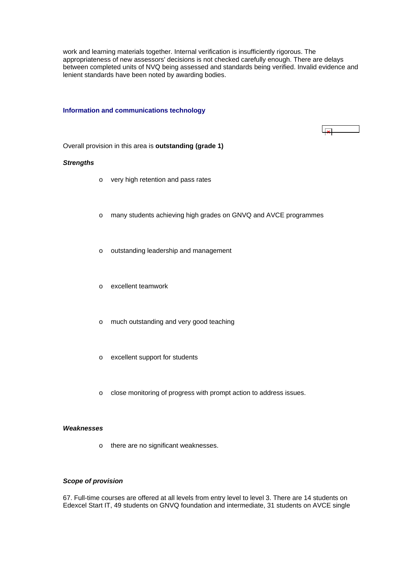<span id="page-25-0"></span>work and learning materials together. Internal verification is insufficiently rigorous. The appropriateness of new assessors' decisions is not checked carefully enough. There are delays between completed units of NVQ being assessed and standards being verified. Invalid evidence and lenient standards have been noted by awarding bodies.

#### **Information and communications technology**



Overall provision in this area is **outstanding (grade 1)**

#### *Strengths*

- o very high retention and pass rates
- o many students achieving high grades on GNVQ and AVCE programmes
- o outstanding leadership and management
- o excellent teamwork
- o much outstanding and very good teaching
- o excellent support for students
- o close monitoring of progress with prompt action to address issues.

#### *Weaknesses*

o there are no significant weaknesses.

#### *Scope of provision*

67. Full-time courses are offered at all levels from entry level to level 3. There are 14 students on Edexcel Start IT, 49 students on GNVQ foundation and intermediate, 31 students on AVCE single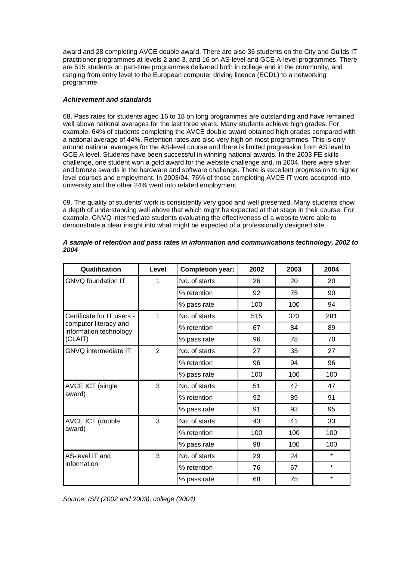award and 28 completing AVCE double award. There are also 36 students on the City and Guilds IT practitioner programmes at levels 2 and 3, and 16 on AS-level and GCE A-level programmes. There are 515 students on part-time programmes delivered both in college and in the community, and ranging from entry level to the European computer driving licence (ECDL) to a networking programme.

# *Achievement and standards*

68. Pass rates for students aged 16 to 18 on long programmes are outstanding and have remained well above national averages for the last three years. Many students achieve high grades. For example, 64% of students completing the AVCE double award obtained high grades compared with a national average of 44%. Retention rates are also very high on most programmes. This is only around national averages for the AS-level course and there is limited progression from AS level to GCE A level. Students have been successful in winning national awards. In the 2003 FE skills challenge, one student won a gold award for the website challenge and, in 2004, there were silver and bronze awards in the hardware and software challenge. There is excellent progression to higher level courses and employment. In 2003/04, 76% of those completing AVCE IT were accepted into university and the other 24% went into related employment.

69. The quality of students' work is consistently very good and well presented. Many students show a depth of understanding well above that which might be expected at that stage in their course. For example, GNVQ intermediate students evaluating the effectiveness of a website were able to demonstrate a clear insight into what might be expected of a professionally designed site.

| Qualification                                   | Level          | <b>Completion year:</b> | 2002 | 2003 | 2004    |
|-------------------------------------------------|----------------|-------------------------|------|------|---------|
| GNVQ foundation IT                              | 1              | No. of starts           | 26   | 20   | 20      |
|                                                 |                | % retention             | 92   | 75   | 90      |
|                                                 |                | % pass rate             | 100  | 100  | 94      |
| Certificate for IT users -                      | 1              | No. of starts           | 515  | 373  | 281     |
| computer literacy and<br>information technology |                | % retention             | 67   | 84   | 89      |
| (CLAIT)                                         |                | % pass rate             | 96   | 78   | 70      |
| <b>GNVQ</b> intermediate IT                     | $\overline{2}$ | No. of starts           | 27   | 35   | 27      |
|                                                 |                | % retention             | 96   | 94   | 96      |
|                                                 |                | % pass rate             | 100  | 100  | 100     |
| <b>AVCE ICT (single</b><br>award)               | 3              | No. of starts           | 51   | 47   | 47      |
|                                                 |                | % retention             | 92   | 89   | 91      |
|                                                 |                | % pass rate             | 91   | 93   | 95      |
| AVCE ICT (double<br>award)                      | 3              | No. of starts           | 43   | 41   | 33      |
|                                                 |                | % retention             | 100  | 100  | 100     |
|                                                 |                | % pass rate             | 98   | 100  | 100     |
| AS-level IT and                                 | 3              | No. of starts           | 29   | 24   | $\star$ |
| information                                     |                | % retention             | 76   | 67   | $\star$ |
|                                                 |                | % pass rate             | 68   | 75   | $\star$ |

# *A sample of retention and pass rates in information and communications technology, 2002 to 2004*

*Source: ISR (2002 and 2003), college (2004)*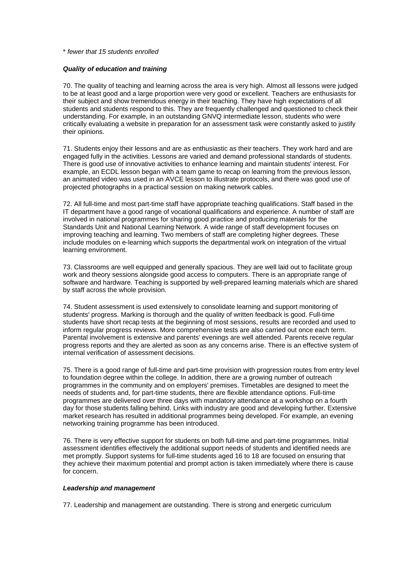#### \* *fewer that 15 students enrolled*

#### *Quality of education and training*

70. The quality of teaching and learning across the area is very high. Almost all lessons were judged to be at least good and a large proportion were very good or excellent. Teachers are enthusiasts for their subject and show tremendous energy in their teaching. They have high expectations of all students and students respond to this. They are frequently challenged and questioned to check their understanding. For example, in an outstanding GNVQ intermediate lesson, students who were critically evaluating a website in preparation for an assessment task were constantly asked to justify their opinions.

71. Students enjoy their lessons and are as enthusiastic as their teachers. They work hard and are engaged fully in the activities. Lessons are varied and demand professional standards of students. There is good use of innovative activities to enhance learning and maintain students' interest. For example, an ECDL lesson began with a team game to recap on learning from the previous lesson, an animated video was used in an AVCE lesson to illustrate protocols, and there was good use of projected photographs in a practical session on making network cables.

72. All full-time and most part-time staff have appropriate teaching qualifications. Staff based in the IT department have a good range of vocational qualifications and experience. A number of staff are involved in national programmes for sharing good practice and producing materials for the Standards Unit and National Learning Network. A wide range of staff development focuses on improving teaching and learning. Two members of staff are completing higher degrees. These include modules on e-learning which supports the departmental work on integration of the virtual learning environment.

73. Classrooms are well equipped and generally spacious. They are well laid out to facilitate group work and theory sessions alongside good access to computers. There is an appropriate range of software and hardware. Teaching is supported by well-prepared learning materials which are shared by staff across the whole provision.

74. Student assessment is used extensively to consolidate learning and support monitoring of students' progress. Marking is thorough and the quality of written feedback is good. Full-time students have short recap tests at the beginning of most sessions, results are recorded and used to inform regular progress reviews. More comprehensive tests are also carried out once each term. Parental involvement is extensive and parents' evenings are well attended. Parents receive regular progress reports and they are alerted as soon as any concerns arise. There is an effective system of internal verification of assessment decisions.

75. There is a good range of full-time and part-time provision with progression routes from entry level to foundation degree within the college. In addition, there are a growing number of outreach programmes in the community and on employers' premises. Timetables are designed to meet the needs of students and, for part-time students, there are flexible attendance options. Full-time programmes are delivered over three days with mandatory attendance at a workshop on a fourth day for those students falling behind. Links with industry are good and developing further. Extensive market research has resulted in additional programmes being developed. For example, an evening networking training programme has been introduced.

76. There is very effective support for students on both full-time and part-time programmes. Initial assessment identifies effectively the additional support needs of students and identified needs are met promptly. Support systems for full-time students aged 16 to 18 are focused on ensuring that they achieve their maximum potential and prompt action is taken immediately where there is cause for concern.

#### *Leadership and management*

77. Leadership and management are outstanding. There is strong and energetic curriculum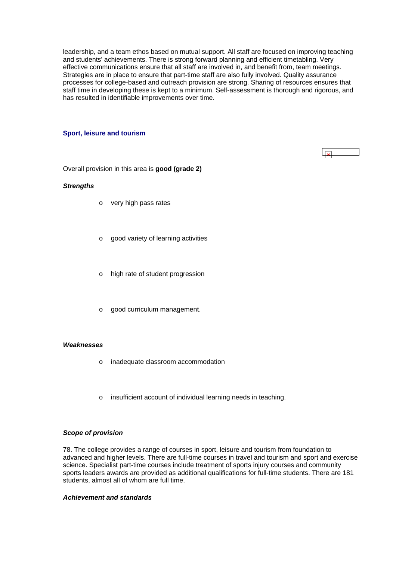<span id="page-28-0"></span>leadership, and a team ethos based on mutual support. All staff are focused on improving teaching and students' achievements. There is strong forward planning and efficient timetabling. Very effective communications ensure that all staff are involved in, and benefit from, team meetings. Strategies are in place to ensure that part-time staff are also fully involved. Quality assurance processes for college-based and outreach provision are strong. Sharing of resources ensures that staff time in developing these is kept to a minimum. Self-assessment is thorough and rigorous, and has resulted in identifiable improvements over time.

# **Sport, leisure and tourism**

Overall provision in this area is **good (grade 2)**

#### *Strengths*

- o very high pass rates
- o good variety of learning activities
- o high rate of student progression
- o good curriculum management.

#### *Weaknesses*

- o inadequate classroom accommodation
- o insufficient account of individual learning needs in teaching.

#### *Scope of provision*

78. The college provides a range of courses in sport, leisure and tourism from foundation to advanced and higher levels. There are full-time courses in travel and tourism and sport and exercise science. Specialist part-time courses include treatment of sports injury courses and community sports leaders awards are provided as additional qualifications for full-time students. There are 181 students, almost all of whom are full time.

#### *Achievement and standards*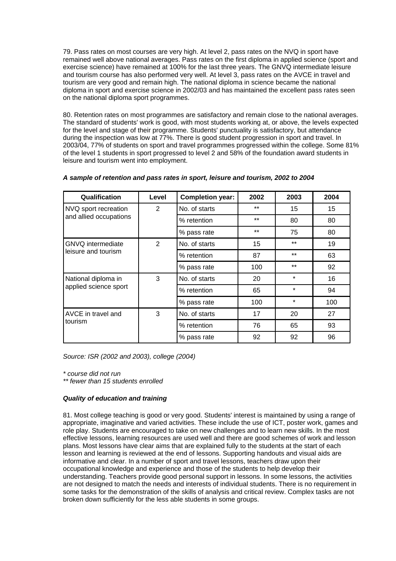79. Pass rates on most courses are very high. At level 2, pass rates on the NVQ in sport have remained well above national averages. Pass rates on the first diploma in applied science (sport and exercise science) have remained at 100% for the last three years. The GNVQ intermediate leisure and tourism course has also performed very well. At level 3, pass rates on the AVCE in travel and tourism are very good and remain high. The national diploma in science became the national diploma in sport and exercise science in 2002/03 and has maintained the excellent pass rates seen on the national diploma sport programmes.

80. Retention rates on most programmes are satisfactory and remain close to the national averages. The standard of students' work is good, with most students working at, or above, the levels expected for the level and stage of their programme. Students' punctuality is satisfactory, but attendance during the inspection was low at 77%. There is good student progression in sport and travel. In 2003/04, 77% of students on sport and travel programmes progressed within the college. Some 81% of the level 1 students in sport progressed to level 2 and 58% of the foundation award students in leisure and tourism went into employment.

| Qualification                 | Level | <b>Completion year:</b> | 2002  | 2003    | 2004 |
|-------------------------------|-------|-------------------------|-------|---------|------|
| NVQ sport recreation          | 2     | No. of starts           | $***$ | 15      | 15   |
| and allied occupations        |       | % retention             | $***$ | 80      | 80   |
|                               |       | % pass rate             | $***$ | 75      | 80   |
| <b>GNVQ</b> intermediate      | 2     | No. of starts           | 15    | $**$    | 19   |
| leisure and tourism           |       | % retention             | 87    | $**$    | 63   |
|                               |       | % pass rate             | 100   | $**$    | 92   |
| National diploma in           | 3     | No. of starts           | 20    | $\star$ | 16   |
| applied science sport         |       | % retention             | 65    | $\star$ | 94   |
|                               |       | % pass rate             | 100   | $\star$ | 100  |
| AVCE in travel and<br>tourism | 3     | No. of starts           | 17    | 20      | 27   |
|                               |       | % retention             | 76    | 65      | 93   |
|                               |       | % pass rate             | 92    | 92      | 96   |

# *A sample of retention and pass rates in sport, leisure and tourism, 2002 to 2004*

*Source: ISR (2002 and 2003), college (2004)*

*\* course did not run* 

*\*\* fewer than 15 students enrolled*

# *Quality of education and training*

81. Most college teaching is good or very good. Students' interest is maintained by using a range of appropriate, imaginative and varied activities. These include the use of ICT, poster work, games and role play. Students are encouraged to take on new challenges and to learn new skills. In the most effective lessons, learning resources are used well and there are good schemes of work and lesson plans. Most lessons have clear aims that are explained fully to the students at the start of each lesson and learning is reviewed at the end of lessons. Supporting handouts and visual aids are informative and clear. In a number of sport and travel lessons, teachers draw upon their occupational knowledge and experience and those of the students to help develop their understanding. Teachers provide good personal support in lessons. In some lessons, the activities are not designed to match the needs and interests of individual students. There is no requirement in some tasks for the demonstration of the skills of analysis and critical review. Complex tasks are not broken down sufficiently for the less able students in some groups.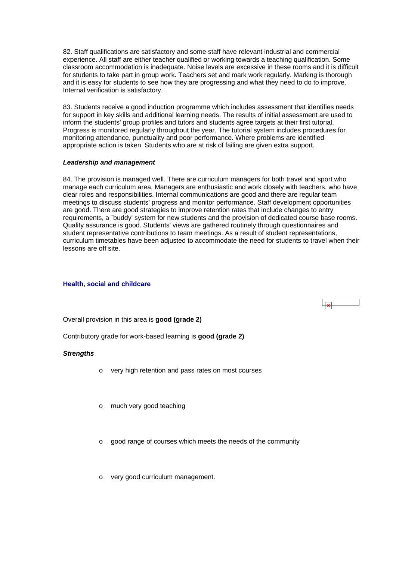<span id="page-30-0"></span>82. Staff qualifications are satisfactory and some staff have relevant industrial and commercial experience. All staff are either teacher qualified or working towards a teaching qualification. Some classroom accommodation is inadequate. Noise levels are excessive in these rooms and it is difficult for students to take part in group work. Teachers set and mark work regularly. Marking is thorough and it is easy for students to see how they are progressing and what they need to do to improve. Internal verification is satisfactory.

83. Students receive a good induction programme which includes assessment that identifies needs for support in key skills and additional learning needs. The results of initial assessment are used to inform the students' group profiles and tutors and students agree targets at their first tutorial. Progress is monitored regularly throughout the year. The tutorial system includes procedures for monitoring attendance, punctuality and poor performance. Where problems are identified appropriate action is taken. Students who are at risk of failing are given extra support.

#### *Leadership and management*

84. The provision is managed well. There are curriculum managers for both travel and sport who manage each curriculum area. Managers are enthusiastic and work closely with teachers, who have clear roles and responsibilities. Internal communications are good and there are regular team meetings to discuss students' progress and monitor performance. Staff development opportunities are good. There are good strategies to improve retention rates that include changes to entry requirements, a `buddy' system for new students and the provision of dedicated course base rooms. Quality assurance is good. Students' views are gathered routinely through questionnaires and student representative contributions to team meetings. As a result of student representations, curriculum timetables have been adjusted to accommodate the need for students to travel when their lessons are off site.

#### **Health, social and childcare**



Overall provision in this area is **good (grade 2)**

Contributory grade for work-based learning is **good (grade 2)**

# *Strengths*

- o very high retention and pass rates on most courses
- o much very good teaching
- o good range of courses which meets the needs of the community
- o very good curriculum management.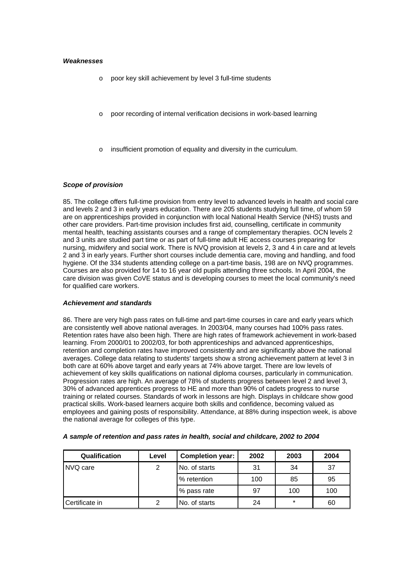#### *Weaknesses*

- o poor key skill achievement by level 3 full-time students
- o poor recording of internal verification decisions in work-based learning
- insufficient promotion of equality and diversity in the curriculum.

# *Scope of provision*

85. The college offers full-time provision from entry level to advanced levels in health and social care and levels 2 and 3 in early years education. There are 205 students studying full time, of whom 59 are on apprenticeships provided in conjunction with local National Health Service (NHS) trusts and other care providers. Part-time provision includes first aid, counselling, certificate in community mental health, teaching assistants courses and a range of complementary therapies. OCN levels 2 and 3 units are studied part time or as part of full-time adult HE access courses preparing for nursing, midwifery and social work. There is NVQ provision at levels 2, 3 and 4 in care and at levels 2 and 3 in early years. Further short courses include dementia care, moving and handling, and food hygiene. Of the 334 students attending college on a part-time basis, 198 are on NVQ programmes. Courses are also provided for 14 to 16 year old pupils attending three schools. In April 2004, the care division was given CoVE status and is developing courses to meet the local community's need for qualified care workers.

#### *Achievement and standards*

86. There are very high pass rates on full-time and part-time courses in care and early years which are consistently well above national averages. In 2003/04, many courses had 100% pass rates. Retention rates have also been high. There are high rates of framework achievement in work-based learning. From 2000/01 to 2002/03, for both apprenticeships and advanced apprenticeships, retention and completion rates have improved consistently and are significantly above the national averages. College data relating to students' targets show a strong achievement pattern at level 3 in both care at 60% above target and early years at 74% above target. There are low levels of achievement of key skills qualifications on national diploma courses, particularly in communication. Progression rates are high. An average of 78% of students progress between level 2 and level 3, 30% of advanced apprentices progress to HE and more than 90% of cadets progress to nurse training or related courses. Standards of work in lessons are high. Displays in childcare show good practical skills. Work-based learners acquire both skills and confidence, becoming valued as employees and gaining posts of responsibility. Attendance, at 88% during inspection week, is above the national average for colleges of this type.

| <b>Qualification</b> | Level | <b>Completion year:</b> | 2002 | 2003    | 2004 |
|----------------------|-------|-------------------------|------|---------|------|
| INVQ care            | 2     | No. of starts           | 31   | 34      | 37   |
|                      |       | % retention             |      | 85      | 95   |
|                      |       | % pass rate             | 97   | 100     | 100  |
| Certificate in       | 2     | No. of starts           | 24   | $\star$ | 60   |

#### *A sample of retention and pass rates in health, social and childcare, 2002 to 2004*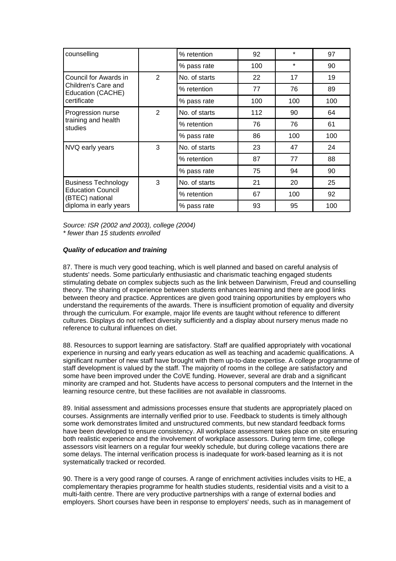| counselling                                                               |   | % retention                   | 92  | $\star$ | 97  |
|---------------------------------------------------------------------------|---|-------------------------------|-----|---------|-----|
|                                                                           |   | $\star$<br>100<br>% pass rate |     | 90      |     |
| Council for Awards in                                                     | 2 | No. of starts                 | 22  | 17      | 19  |
| Children's Care and<br>Education (CACHE)                                  |   | % retention                   | 77  | 76      | 89  |
| certificate                                                               |   | % pass rate                   | 100 | 100     | 100 |
| Progression nurse                                                         | 2 | No. of starts                 | 112 | 90      | 64  |
| training and health<br>studies                                            |   | % retention                   | 76  | 76      | 61  |
|                                                                           |   | % pass rate                   | 86  | 100     | 100 |
| NVQ early years                                                           | 3 | No. of starts                 | 23  | 47      | 24  |
|                                                                           |   | % retention                   | 87  | 77      | 88  |
|                                                                           |   | % pass rate                   | 75  | 94      | 90  |
| <b>Business Technology</b><br><b>Education Council</b><br>(BTEC) national | 3 | No. of starts                 | 21  | 20      | 25  |
|                                                                           |   | % retention                   | 67  | 100     | 92  |
| diploma in early years                                                    |   | % pass rate                   | 93  | 95      | 100 |

*Source: ISR (2002 and 2003), college (2004) \* fewer than 15 students enrolled*

# *Quality of education and training*

87. There is much very good teaching, which is well planned and based on careful analysis of students' needs. Some particularly enthusiastic and charismatic teaching engaged students stimulating debate on complex subjects such as the link between Darwinism, Freud and counselling theory. The sharing of experience between students enhances learning and there are good links between theory and practice. Apprentices are given good training opportunities by employers who understand the requirements of the awards. There is insufficient promotion of equality and diversity through the curriculum. For example, major life events are taught without reference to different cultures. Displays do not reflect diversity sufficiently and a display about nursery menus made no reference to cultural influences on diet.

88. Resources to support learning are satisfactory. Staff are qualified appropriately with vocational experience in nursing and early years education as well as teaching and academic qualifications. A significant number of new staff have brought with them up-to-date expertise. A college programme of staff development is valued by the staff. The majority of rooms in the college are satisfactory and some have been improved under the CoVE funding. However, several are drab and a significant minority are cramped and hot. Students have access to personal computers and the Internet in the learning resource centre, but these facilities are not available in classrooms.

89. Initial assessment and admissions processes ensure that students are appropriately placed on courses. Assignments are internally verified prior to use. Feedback to students is timely although some work demonstrates limited and unstructured comments, but new standard feedback forms have been developed to ensure consistency. All workplace assessment takes place on site ensuring both realistic experience and the involvement of workplace assessors. During term time, college assessors visit learners on a regular four weekly schedule, but during college vacations there are some delays. The internal verification process is inadequate for work-based learning as it is not systematically tracked or recorded.

90. There is a very good range of courses. A range of enrichment activities includes visits to HE, a complementary therapies programme for health studies students, residential visits and a visit to a multi-faith centre. There are very productive partnerships with a range of external bodies and employers. Short courses have been in response to employers' needs, such as in management of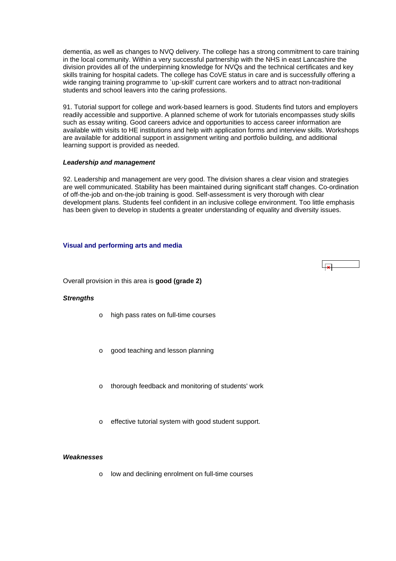<span id="page-33-0"></span>dementia, as well as changes to NVQ delivery. The college has a strong commitment to care training in the local community. Within a very successful partnership with the NHS in east Lancashire the division provides all of the underpinning knowledge for NVQs and the technical certificates and key skills training for hospital cadets. The college has CoVE status in care and is successfully offering a wide ranging training programme to `up-skill' current care workers and to attract non-traditional students and school leavers into the caring professions.

91. Tutorial support for college and work-based learners is good. Students find tutors and employers readily accessible and supportive. A planned scheme of work for tutorials encompasses study skills such as essay writing. Good careers advice and opportunities to access career information are available with visits to HE institutions and help with application forms and interview skills. Workshops are available for additional support in assignment writing and portfolio building, and additional learning support is provided as needed.

#### *Leadership and management*

92. Leadership and management are very good. The division shares a clear vision and strategies are well communicated. Stability has been maintained during significant staff changes. Co-ordination of off-the-job and on-the-job training is good. Self-assessment is very thorough with clear development plans. Students feel confident in an inclusive college environment. Too little emphasis has been given to develop in students a greater understanding of equality and diversity issues.

# **Visual and performing arts and media**

Overall provision in this area is **good (grade 2)**

#### *Strengths*

- o high pass rates on full-time courses
- o good teaching and lesson planning
- thorough feedback and monitoring of students' work
- effective tutorial system with good student support.

#### *Weaknesses*

o low and declining enrolment on full-time courses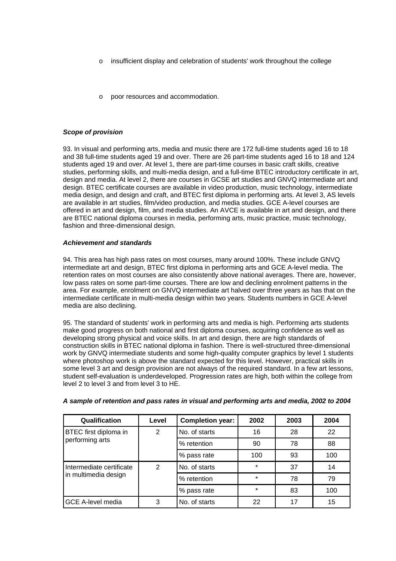- insufficient display and celebration of students' work throughout the college
- poor resources and accommodation.

#### *Scope of provision*

93. In visual and performing arts, media and music there are 172 full-time students aged 16 to 18 and 38 full-time students aged 19 and over. There are 26 part-time students aged 16 to 18 and 124 students aged 19 and over. At level 1, there are part-time courses in basic craft skills, creative studies, performing skills, and multi-media design, and a full-time BTEC introductory certificate in art, design and media. At level 2, there are courses in GCSE art studies and GNVQ intermediate art and design. BTEC certificate courses are available in video production, music technology, intermediate media design, and design and craft, and BTEC first diploma in performing arts. At level 3, AS levels are available in art studies, film/video production, and media studies. GCE A-level courses are offered in art and design, film, and media studies. An AVCE is available in art and design, and there are BTEC national diploma courses in media, performing arts, music practice, music technology, fashion and three-dimensional design.

# *Achievement and standards*

94. This area has high pass rates on most courses, many around 100%. These include GNVQ intermediate art and design, BTEC first diploma in performing arts and GCE A-level media. The retention rates on most courses are also consistently above national averages. There are, however, low pass rates on some part-time courses. There are low and declining enrolment patterns in the area. For example, enrolment on GNVQ intermediate art halved over three years as has that on the intermediate certificate in multi-media design within two years. Students numbers in GCE A-level media are also declining.

95. The standard of students' work in performing arts and media is high. Performing arts students make good progress on both national and first diploma courses, acquiring confidence as well as developing strong physical and voice skills. In art and design, there are high standards of construction skills in BTEC national diploma in fashion. There is well-structured three-dimensional work by GNVQ intermediate students and some high-quality computer graphics by level 1 students where photoshop work is above the standard expected for this level. However, practical skills in some level 3 art and design provision are not always of the required standard. In a few art lessons, student self-evaluation is underdeveloped. Progression rates are high, both within the college from level 2 to level 3 and from level 3 to HE.

| Qualification            | Level          | <b>Completion year:</b> | 2002    | 2003 | 2004 |
|--------------------------|----------------|-------------------------|---------|------|------|
| BTEC first diploma in    | $\overline{2}$ | No. of starts           | 16      | 28   | 22   |
| performing arts          |                | % retention             | 90      | 78   | 88   |
|                          |                | % pass rate             | 100     | 93   | 100  |
| Intermediate certificate | 2              | No. of starts           | $\star$ | 37   | 14   |
| in multimedia design     |                | % retention             | $\star$ | 78   | 79   |
|                          |                | % pass rate             | $\star$ | 83   | 100  |
| <b>GCE A-level media</b> | 3              | No. of starts           | 22      | 17   | 15   |

*A sample of retention and pass rates in visual and performing arts and media, 2002 to 2004*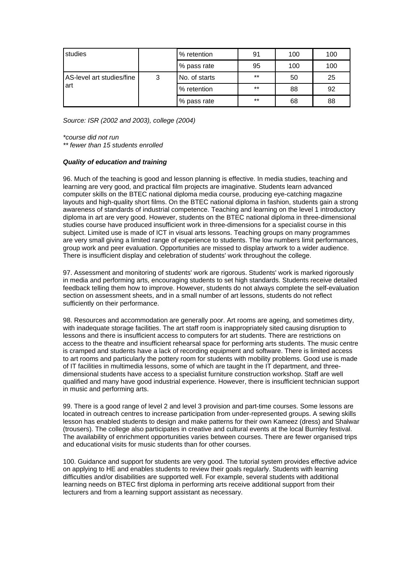| studies                          |   | % retention   | 91    | 100 | 100 |
|----------------------------------|---|---------------|-------|-----|-----|
|                                  |   | % pass rate   | 95    | 100 | 100 |
| AS-level art studies/fine<br>art | 3 | No. of starts | $***$ | 50  | 25  |
|                                  |   | % retention   | $***$ | 88  | 92  |
|                                  |   | % pass rate   | $***$ | 68  | 88  |

*Source: ISR (2002 and 2003), college (2004)*

*\*course did not run* 

*\*\* fewer than 15 students enrolled*

#### *Quality of education and training*

96. Much of the teaching is good and lesson planning is effective. In media studies, teaching and learning are very good, and practical film projects are imaginative. Students learn advanced computer skills on the BTEC national diploma media course, producing eye-catching magazine layouts and high-quality short films. On the BTEC national diploma in fashion, students gain a strong awareness of standards of industrial competence. Teaching and learning on the level 1 introductory diploma in art are very good. However, students on the BTEC national diploma in three-dimensional studies course have produced insufficient work in three-dimensions for a specialist course in this subject. Limited use is made of ICT in visual arts lessons. Teaching groups on many programmes are very small giving a limited range of experience to students. The low numbers limit performances, group work and peer evaluation. Opportunities are missed to display artwork to a wider audience. There is insufficient display and celebration of students' work throughout the college.

97. Assessment and monitoring of students' work are rigorous. Students' work is marked rigorously in media and performing arts, encouraging students to set high standards. Students receive detailed feedback telling them how to improve. However, students do not always complete the self-evaluation section on assessment sheets, and in a small number of art lessons, students do not reflect sufficiently on their performance.

98. Resources and accommodation are generally poor. Art rooms are ageing, and sometimes dirty, with inadequate storage facilities. The art staff room is inappropriately sited causing disruption to lessons and there is insufficient access to computers for art students. There are restrictions on access to the theatre and insufficient rehearsal space for performing arts students. The music centre is cramped and students have a lack of recording equipment and software. There is limited access to art rooms and particularly the pottery room for students with mobility problems. Good use is made of IT facilities in multimedia lessons, some of which are taught in the IT department, and threedimensional students have access to a specialist furniture construction workshop. Staff are well qualified and many have good industrial experience. However, there is insufficient technician support in music and performing arts.

99. There is a good range of level 2 and level 3 provision and part-time courses. Some lessons are located in outreach centres to increase participation from under-represented groups. A sewing skills lesson has enabled students to design and make patterns for their own Kameez (dress) and Shalwar (trousers). The college also participates in creative and cultural events at the local Burnley festival. The availability of enrichment opportunities varies between courses. There are fewer organised trips and educational visits for music students than for other courses.

100. Guidance and support for students are very good. The tutorial system provides effective advice on applying to HE and enables students to review their goals regularly. Students with learning difficulties and/or disabilities are supported well. For example, several students with additional learning needs on BTEC first diploma in performing arts receive additional support from their lecturers and from a learning support assistant as necessary.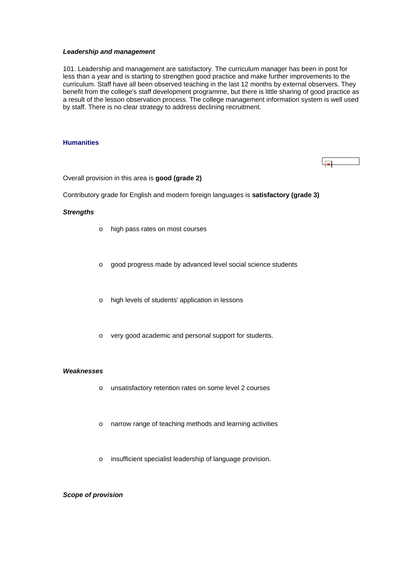#### <span id="page-36-0"></span>*Leadership and management*

101. Leadership and management are satisfactory. The curriculum manager has been in post for less than a year and is starting to strengthen good practice and make further improvements to the curriculum. Staff have all been observed teaching in the last 12 months by external observers. They benefit from the college's staff development programme, but there is little sharing of good practice as a result of the lesson observation process. The college management information system is well used by staff. There is no clear strategy to address declining recruitment.

#### **Humanities**



Overall provision in this area is **good (grade 2)**

Contributory grade for English and modern foreign languages is **satisfactory (grade 3)**

#### *Strengths*

- o high pass rates on most courses
- o good progress made by advanced level social science students
- o high levels of students' application in lessons
- o very good academic and personal support for students.

#### *Weaknesses*

- o unsatisfactory retention rates on some level 2 courses
- o narrow range of teaching methods and learning activities
- o insufficient specialist leadership of language provision.

# *Scope of provision*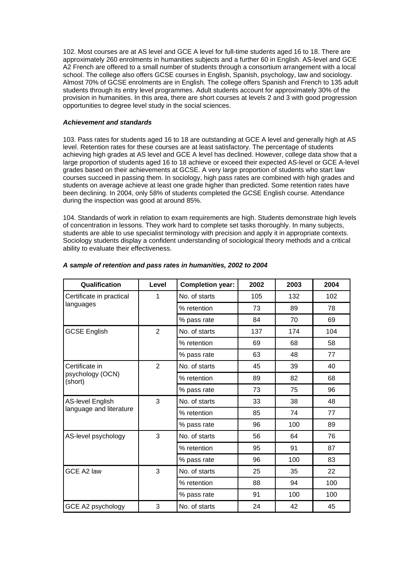102. Most courses are at AS level and GCE A level for full-time students aged 16 to 18. There are approximately 260 enrolments in humanities subjects and a further 60 in English. AS-level and GCE A2 French are offered to a small number of students through a consortium arrangement with a local school. The college also offers GCSE courses in English, Spanish, psychology, law and sociology. Almost 70% of GCSE enrolments are in English. The college offers Spanish and French to 135 adult students through its entry level programmes. Adult students account for approximately 30% of the provision in humanities. In this area, there are short courses at levels 2 and 3 with good progression opportunities to degree level study in the social sciences.

#### *Achievement and standards*

103. Pass rates for students aged 16 to 18 are outstanding at GCE A level and generally high at AS level. Retention rates for these courses are at least satisfactory. The percentage of students achieving high grades at AS level and GCE A level has declined. However, college data show that a large proportion of students aged 16 to 18 achieve or exceed their expected AS-level or GCE A-level grades based on their achievements at GCSE. A very large proportion of students who start law courses succeed in passing them. In sociology, high pass rates are combined with high grades and students on average achieve at least one grade higher than predicted. Some retention rates have been declining. In 2004, only 58% of students completed the GCSE English course. Attendance during the inspection was good at around 85%.

104. Standards of work in relation to exam requirements are high. Students demonstrate high levels of concentration in lessons. They work hard to complete set tasks thoroughly. In many subjects, students are able to use specialist terminology with precision and apply it in appropriate contexts. Sociology students display a confident understanding of sociological theory methods and a critical ability to evaluate their effectiveness.

| Qualification               | Level          | <b>Completion year:</b> | 2002 | 2003 | 2004 |
|-----------------------------|----------------|-------------------------|------|------|------|
| Certificate in practical    | 1              | No. of starts           | 105  | 132  | 102  |
| languages                   |                | % retention             | 73   | 89   | 78   |
|                             |                | % pass rate             | 84   | 70   | 69   |
| <b>GCSE English</b>         | $\overline{2}$ | No. of starts           | 137  | 174  | 104  |
|                             |                | % retention             | 69   | 68   | 58   |
|                             |                | % pass rate             | 63   | 48   | 77   |
| Certificate in              | $\overline{2}$ | No. of starts           | 45   | 39   | 40   |
| psychology (OCN)<br>(short) |                | % retention             | 89   | 82   | 68   |
|                             |                | % pass rate             | 73   | 75   | 96   |
| <b>AS-level English</b>     | 3              | No. of starts           | 33   | 38   | 48   |
| language and literature     |                | % retention             | 85   | 74   | 77   |
|                             |                | % pass rate             | 96   | 100  | 89   |
| AS-level psychology         | 3              | No. of starts           | 56   | 64   | 76   |
|                             |                | % retention             | 95   | 91   | 87   |
|                             |                | % pass rate             | 96   | 100  | 83   |
| GCE A2 law                  | 3              | No. of starts           | 25   | 35   | 22   |
|                             |                | % retention             | 88   | 94   | 100  |
|                             |                | % pass rate             | 91   | 100  | 100  |
| GCE A2 psychology           | 3              | No. of starts           | 24   | 42   | 45   |

# *A sample of retention and pass rates in humanities, 2002 to 2004*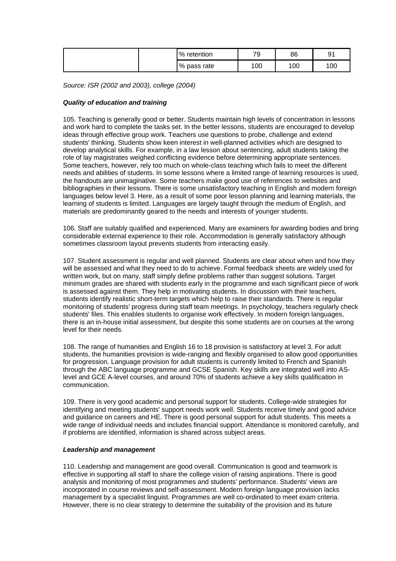| $\%$<br>retention | 70<br>÷ | 86  | ດ<br>◡<br>ັັ |
|-------------------|---------|-----|--------------|
| % pass rate       | 100     | 100 | 00           |

*Source: ISR (2002 and 2003), college (2004)*

# *Quality of education and training*

105. Teaching is generally good or better. Students maintain high levels of concentration in lessons and work hard to complete the tasks set. In the better lessons, students are encouraged to develop ideas through effective group work. Teachers use questions to probe, challenge and extend students' thinking. Students show keen interest in well-planned activities which are designed to develop analytical skills. For example, in a law lesson about sentencing, adult students taking the role of lay magistrates weighed conflicting evidence before determining appropriate sentences. Some teachers, however, rely too much on whole-class teaching which fails to meet the different needs and abilities of students. In some lessons where a limited range of learning resources is used, the handouts are unimaginative. Some teachers make good use of references to websites and bibliographies in their lessons. There is some unsatisfactory teaching in English and modern foreign languages below level 3. Here, as a result of some poor lesson planning and learning materials, the learning of students is limited. Languages are largely taught through the medium of English, and materials are predominantly geared to the needs and interests of younger students.

106. Staff are suitably qualified and experienced. Many are examiners for awarding bodies and bring considerable external experience to their role. Accommodation is generally satisfactory although sometimes classroom layout prevents students from interacting easily.

107. Student assessment is regular and well planned. Students are clear about when and how they will be assessed and what they need to do to achieve. Formal feedback sheets are widely used for written work, but on many, staff simply define problems rather than suggest solutions. Target minimum grades are shared with students early in the programme and each significant piece of work is assessed against them. They help in motivating students. In discussion with their teachers, students identify realistic short-term targets which help to raise their standards. There is regular monitoring of students' progress during staff team meetings. In psychology, teachers regularly check students' files. This enables students to organise work effectively. In modern foreign languages, there is an in-house initial assessment, but despite this some students are on courses at the wrong level for their needs.

108. The range of humanities and English 16 to 18 provision is satisfactory at level 3. For adult students, the humanities provision is wide-ranging and flexibly organised to allow good opportunities for progression. Language provision for adult students is currently limited to French and Spanish through the ABC language programme and GCSE Spanish. Key skills are integrated well into ASlevel and GCE A-level courses, and around 70% of students achieve a key skills qualification in communication.

109. There is very good academic and personal support for students. College-wide strategies for identifying and meeting students' support needs work well. Students receive timely and good advice and guidance on careers and HE. There is good personal support for adult students. This meets a wide range of individual needs and includes financial support. Attendance is monitored carefully, and if problems are identified, information is shared across subject areas.

#### *Leadership and management*

110. Leadership and management are good overall. Communication is good and teamwork is effective in supporting all staff to share the college vision of raising aspirations. There is good analysis and monitoring of most programmes and students' performance. Students' views are incorporated in course reviews and self-assessment. Modern foreign language provision lacks management by a specialist linguist. Programmes are well co-ordinated to meet exam criteria. However, there is no clear strategy to determine the suitability of the provision and its future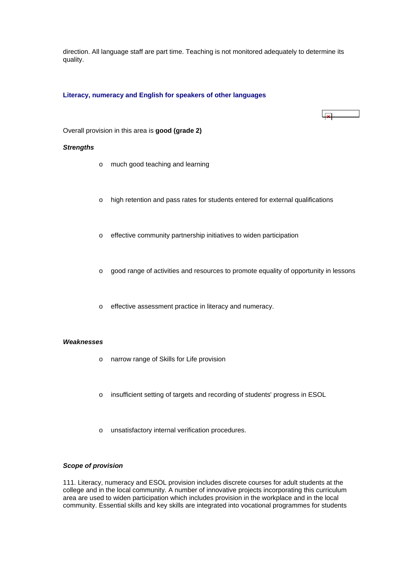<span id="page-39-0"></span>direction. All language staff are part time. Teaching is not monitored adequately to determine its quality.

# **Literacy, numeracy and English for speakers of other languages**

#### Overall provision in this area is **good (grade 2)**

#### *Strengths*

- o much good teaching and learning
- o high retention and pass rates for students entered for external qualifications

 $\mathbf{x}$ 

- o effective community partnership initiatives to widen participation
- o good range of activities and resources to promote equality of opportunity in lessons
- o effective assessment practice in literacy and numeracy.

#### *Weaknesses*

- o narrow range of Skills for Life provision
- o insufficient setting of targets and recording of students' progress in ESOL
- o unsatisfactory internal verification procedures.

#### *Scope of provision*

111. Literacy, numeracy and ESOL provision includes discrete courses for adult students at the college and in the local community. A number of innovative projects incorporating this curriculum area are used to widen participation which includes provision in the workplace and in the local community. Essential skills and key skills are integrated into vocational programmes for students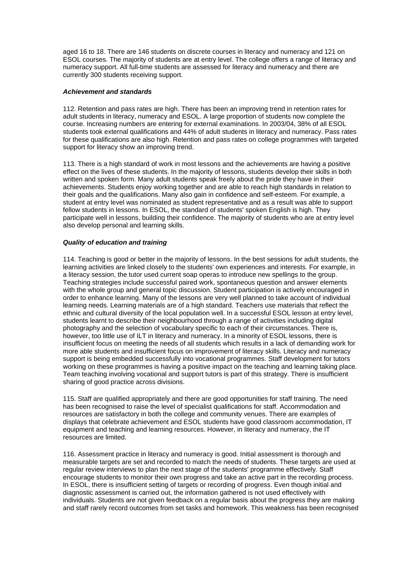aged 16 to 18. There are 146 students on discrete courses in literacy and numeracy and 121 on ESOL courses. The majority of students are at entry level. The college offers a range of literacy and numeracy support. All full-time students are assessed for literacy and numeracy and there are currently 300 students receiving support.

#### *Achievement and standards*

112. Retention and pass rates are high. There has been an improving trend in retention rates for adult students in literacy, numeracy and ESOL. A large proportion of students now complete the course. Increasing numbers are entering for external examinations. In 2003/04, 38% of all ESOL students took external qualifications and 44% of adult students in literacy and numeracy. Pass rates for these qualifications are also high. Retention and pass rates on college programmes with targeted support for literacy show an improving trend.

113. There is a high standard of work in most lessons and the achievements are having a positive effect on the lives of these students. In the majority of lessons, students develop their skills in both written and spoken form. Many adult students speak freely about the pride they have in their achievements. Students enjoy working together and are able to reach high standards in relation to their goals and the qualifications. Many also gain in confidence and self-esteem. For example, a student at entry level was nominated as student representative and as a result was able to support fellow students in lessons. In ESOL, the standard of students' spoken English is high. They participate well in lessons, building their confidence. The majority of students who are at entry level also develop personal and learning skills.

# *Quality of education and training*

114. Teaching is good or better in the majority of lessons. In the best sessions for adult students, the learning activities are linked closely to the students' own experiences and interests. For example, in a literacy session, the tutor used current soap operas to introduce new spellings to the group. Teaching strategies include successful paired work, spontaneous question and answer elements with the whole group and general topic discussion. Student participation is actively encouraged in order to enhance learning. Many of the lessons are very well planned to take account of individual learning needs. Learning materials are of a high standard. Teachers use materials that reflect the ethnic and cultural diversity of the local population well. In a successful ESOL lesson at entry level, students learnt to describe their neighbourhood through a range of activities including digital photography and the selection of vocabulary specific to each of their circumstances. There is, however, too little use of ILT in literacy and numeracy. In a minority of ESOL lessons, there is insufficient focus on meeting the needs of all students which results in a lack of demanding work for more able students and insufficient focus on improvement of literacy skills. Literacy and numeracy support is being embedded successfully into vocational programmes. Staff development for tutors working on these programmes is having a positive impact on the teaching and learning taking place. Team teaching involving vocational and support tutors is part of this strategy. There is insufficient sharing of good practice across divisions.

115. Staff are qualified appropriately and there are good opportunities for staff training. The need has been recognised to raise the level of specialist qualifications for staff. Accommodation and resources are satisfactory in both the college and community venues. There are examples of displays that celebrate achievement and ESOL students have good classroom accommodation, IT equipment and teaching and learning resources. However, in literacy and numeracy, the IT resources are limited.

116. Assessment practice in literacy and numeracy is good. Initial assessment is thorough and measurable targets are set and recorded to match the needs of students. These targets are used at regular review interviews to plan the next stage of the students' programme effectively. Staff encourage students to monitor their own progress and take an active part in the recording process. In ESOL, there is insufficient setting of targets or recording of progress. Even though initial and diagnostic assessment is carried out, the information gathered is not used effectively with individuals. Students are not given feedback on a regular basis about the progress they are making and staff rarely record outcomes from set tasks and homework. This weakness has been recognised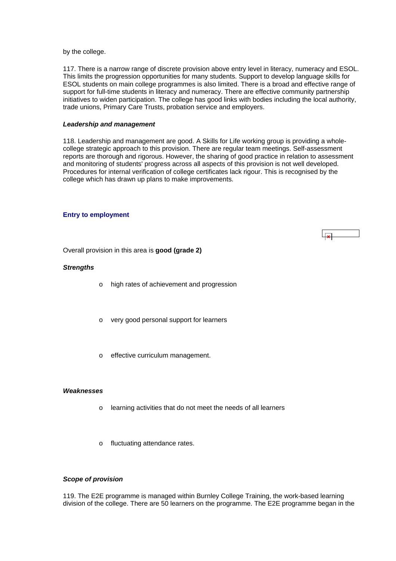<span id="page-41-0"></span>by the college.

117. There is a narrow range of discrete provision above entry level in literacy, numeracy and ESOL. This limits the progression opportunities for many students. Support to develop language skills for ESOL students on main college programmes is also limited. There is a broad and effective range of support for full-time students in literacy and numeracy. There are effective community partnership initiatives to widen participation. The college has good links with bodies including the local authority, trade unions, Primary Care Trusts, probation service and employers.

#### *Leadership and management*

118. Leadership and management are good. A Skills for Life working group is providing a wholecollege strategic approach to this provision. There are regular team meetings. Self-assessment reports are thorough and rigorous. However, the sharing of good practice in relation to assessment and monitoring of students' progress across all aspects of this provision is not well developed. Procedures for internal verification of college certificates lack rigour. This is recognised by the college which has drawn up plans to make improvements.

 $\overline{1}$ 

#### **Entry to employment**



#### *Strengths*

- o high rates of achievement and progression
- o very good personal support for learners
- o effective curriculum management.

#### *Weaknesses*

- o learning activities that do not meet the needs of all learners
- o fluctuating attendance rates.

# *Scope of provision*

119. The E2E programme is managed within Burnley College Training, the work-based learning division of the college. There are 50 learners on the programme. The E2E programme began in the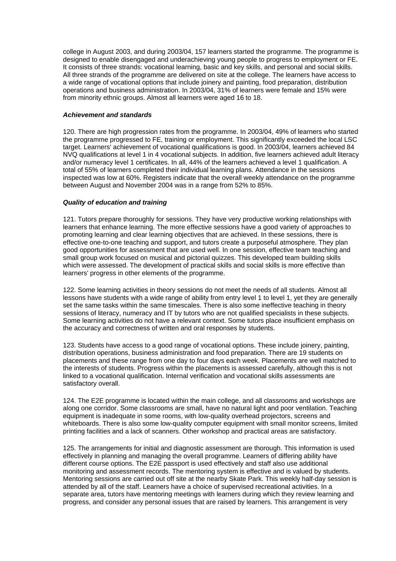college in August 2003, and during 2003/04, 157 learners started the programme. The programme is designed to enable disengaged and underachieving young people to progress to employment or FE. It consists of three strands: vocational learning, basic and key skills, and personal and social skills. All three strands of the programme are delivered on site at the college. The learners have access to a wide range of vocational options that include joinery and painting, food preparation, distribution operations and business administration. In 2003/04, 31% of learners were female and 15% were from minority ethnic groups. Almost all learners were aged 16 to 18.

# *Achievement and standards*

120. There are high progression rates from the programme. In 2003/04, 49% of learners who started the programme progressed to FE, training or employment. This significantly exceeded the local LSC target. Learners' achievement of vocational qualifications is good. In 2003/04, learners achieved 84 NVQ qualifications at level 1 in 4 vocational subjects. In addition, five learners achieved adult literacy and/or numeracy level 1 certificates. In all, 44% of the learners achieved a level 1 qualification. A total of 55% of learners completed their individual learning plans. Attendance in the sessions inspected was low at 60%. Registers indicate that the overall weekly attendance on the programme between August and November 2004 was in a range from 52% to 85%.

# *Quality of education and training*

121. Tutors prepare thoroughly for sessions. They have very productive working relationships with learners that enhance learning. The more effective sessions have a good variety of approaches to promoting learning and clear learning objectives that are achieved. In these sessions, there is effective one-to-one teaching and support, and tutors create a purposeful atmosphere. They plan good opportunities for assessment that are used well. In one session, effective team teaching and small group work focused on musical and pictorial quizzes. This developed team building skills which were assessed. The development of practical skills and social skills is more effective than learners' progress in other elements of the programme.

122. Some learning activities in theory sessions do not meet the needs of all students. Almost all lessons have students with a wide range of ability from entry level 1 to level 1, yet they are generally set the same tasks within the same timescales. There is also some ineffective teaching in theory sessions of literacy, numeracy and IT by tutors who are not qualified specialists in these subjects. Some learning activities do not have a relevant context. Some tutors place insufficient emphasis on the accuracy and correctness of written and oral responses by students.

123. Students have access to a good range of vocational options. These include joinery, painting, distribution operations, business administration and food preparation. There are 19 students on placements and these range from one day to four days each week. Placements are well matched to the interests of students. Progress within the placements is assessed carefully, although this is not linked to a vocational qualification. Internal verification and vocational skills assessments are satisfactory overall.

124. The E2E programme is located within the main college, and all classrooms and workshops are along one corridor. Some classrooms are small, have no natural light and poor ventilation. Teaching equipment is inadequate in some rooms, with low-quality overhead projectors, screens and whiteboards. There is also some low-quality computer equipment with small monitor screens, limited printing facilities and a lack of scanners. Other workshop and practical areas are satisfactory.

125. The arrangements for initial and diagnostic assessment are thorough. This information is used effectively in planning and managing the overall programme. Learners of differing ability have different course options. The E2E passport is used effectively and staff also use additional monitoring and assessment records. The mentoring system is effective and is valued by students. Mentoring sessions are carried out off site at the nearby Skate Park. This weekly half-day session is attended by all of the staff. Learners have a choice of supervised recreational activities. In a separate area, tutors have mentoring meetings with learners during which they review learning and progress, and consider any personal issues that are raised by learners. This arrangement is very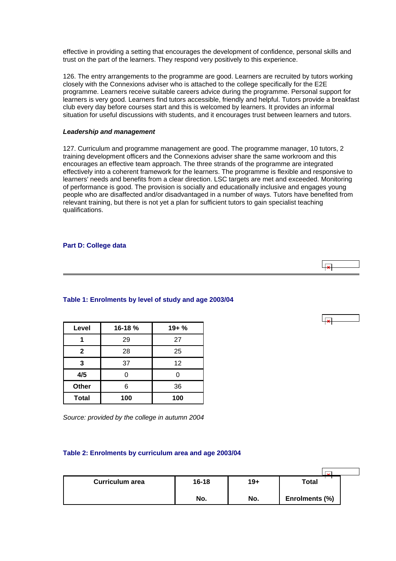<span id="page-43-0"></span>effective in providing a setting that encourages the development of confidence, personal skills and trust on the part of the learners. They respond very positively to this experience.

126. The entry arrangements to the programme are good. Learners are recruited by tutors working closely with the Connexions adviser who is attached to the college specifically for the E2E programme. Learners receive suitable careers advice during the programme. Personal support for learners is very good. Learners find tutors accessible, friendly and helpful. Tutors provide a breakfast club every day before courses start and this is welcomed by learners. It provides an informal situation for useful discussions with students, and it encourages trust between learners and tutors.

#### *Leadership and management*

127. Curriculum and programme management are good. The programme manager, 10 tutors, 2 training development officers and the Connexions adviser share the same workroom and this encourages an effective team approach. The three strands of the programme are integrated effectively into a coherent framework for the learners. The programme is flexible and responsive to learners' needs and benefits from a clear direction. LSC targets are met and exceeded. Monitoring of performance is good. The provision is socially and educationally inclusive and engages young people who are disaffected and/or disadvantaged in a number of ways. Tutors have benefited from relevant training, but there is not yet a plan for sufficient tutors to gain specialist teaching qualifications.

#### **Part D: College data**

| Level        | 16-18 % | $19 + %$ |
|--------------|---------|----------|
|              | 29      | 27       |
| $\mathbf{2}$ | 28      | 25       |
| 3            | 37      | 12       |
| 4/5          |         | U        |
| Other        | 6       | 36       |
| <b>Total</b> | 100     | 100      |

**Table 1: Enrolments by level of study and age 2003/04**

*Source: provided by the college in autumn 2004*

# **Table 2: Enrolments by curriculum area and age 2003/04**

| <b>Curriculum area</b> | $16 - 18$ | $19+$ | Total          |  |
|------------------------|-----------|-------|----------------|--|
|                        | No.       | No.   | Enrolments (%) |  |

 $\overline{\mathbf{r}}$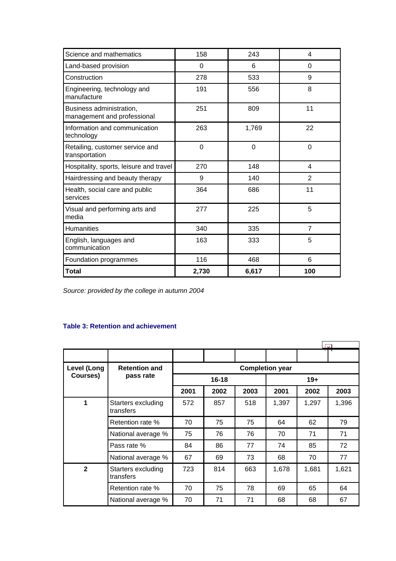<span id="page-44-0"></span>

| Science and mathematics                                 | 158   | 243      | 4              |
|---------------------------------------------------------|-------|----------|----------------|
| Land-based provision                                    | 0     | 6        | 0              |
| Construction                                            | 278   | 533      | 9              |
| Engineering, technology and<br>manufacture              | 191   | 556      | 8              |
| Business administration,<br>management and professional | 251   | 809      | 11             |
| Information and communication<br>technology             | 263   | 1,769    | 22             |
| Retailing, customer service and<br>transportation       | 0     | $\Omega$ | $\Omega$       |
| Hospitality, sports, leisure and travel                 | 270   | 148      | 4              |
| Hairdressing and beauty therapy                         | 9     | 140      | 2              |
| Health, social care and public<br>services              | 364   | 686      | 11             |
| Visual and performing arts and<br>media                 | 277   | 225      | 5              |
| <b>Humanities</b>                                       | 340   | 335      | $\overline{7}$ |
| English, languages and<br>communication                 | 163   | 333      | 5              |
| Foundation programmes                                   | 116   | 468      | 6              |
| Total                                                   | 2,730 | 6,617    | 100            |

*Source: provided by the college in autumn 2004*

# **Table 3: Retention and achievement**

| Level (Long  | <b>Retention and</b>            |      |           |      | <b>Completion year</b> |       |       |
|--------------|---------------------------------|------|-----------|------|------------------------|-------|-------|
| Courses)     | pass rate                       |      | $16 - 18$ |      |                        | $19+$ |       |
|              |                                 | 2001 | 2002      | 2003 | 2001                   | 2002  | 2003  |
| 1            | Starters excluding<br>transfers | 572  | 857       | 518  | 1,397                  | 1,297 | 1,396 |
|              | Retention rate %                | 70   | 75        | 75   | 64                     | 62    | 79    |
|              | National average %              | 75   | 76        | 76   | 70                     | 71    | 71    |
|              | Pass rate %                     | 84   | 86        | 77   | 74                     | 85    | 72    |
|              | National average %              | 67   | 69        | 73   | 68                     | 70    | 77    |
| $\mathbf{2}$ | Starters excluding<br>transfers | 723  | 814       | 663  | 1,678                  | 1,681 | 1,621 |
|              | Retention rate %                | 70   | 75        | 78   | 69                     | 65    | 64    |
|              | National average %              | 70   | 71        | 71   | 68                     | 68    | 67    |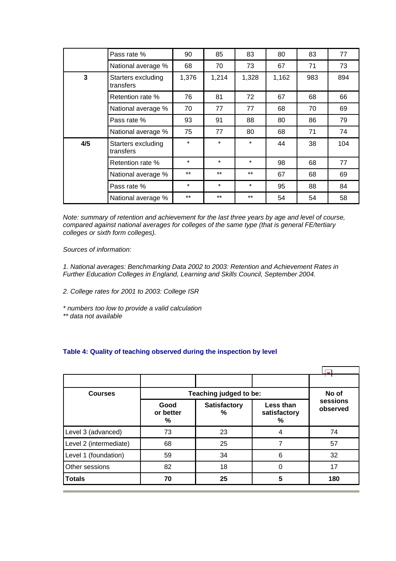<span id="page-45-0"></span>

|     | Pass rate %                     | 90      | 85      | 83      | 80    | 83  | 77  |
|-----|---------------------------------|---------|---------|---------|-------|-----|-----|
|     | National average %              | 68      | 70      | 73      | 67    | 71  | 73  |
| 3   | Starters excluding<br>transfers | 1,376   | 1,214   | 1,328   | 1,162 | 983 | 894 |
|     | Retention rate %                | 76      | 81      | 72      | 67    | 68  | 66  |
|     | National average %              | 70      | 77      | 77      | 68    | 70  | 69  |
|     | Pass rate %                     | 93      | 91      | 88      | 80    | 86  | 79  |
|     | National average %              | 75      | 77      | 80      | 68    | 71  | 74  |
| 4/5 | Starters excluding<br>transfers | $\star$ | $\star$ | $\star$ | 44    | 38  | 104 |
|     | Retention rate %                | $\star$ | $\star$ | $\star$ | 98    | 68  | 77  |
|     | National average %              | $***$   | $***$   | $***$   | 67    | 68  | 69  |
|     | Pass rate %                     | $\star$ | $\star$ | $\star$ | 95    | 88  | 84  |
|     | National average %              | $***$   | $***$   | $***$   | 54    | 54  | 58  |

*Note: summary of retention and achievement for the last three years by age and level of course, compared against national averages for colleges of the same type (that is general FE/tertiary colleges or sixth form colleges).*

*Sources of information:* 

*1. National averages: Benchmarking Data 2002 to 2003: Retention and Achievement Rates in Further Education Colleges in England, Learning and Skills Council, September 2004.*

- *2. College rates for 2001 to 2003: College ISR*
- *\* numbers too low to provide a valid calculation*
- *\*\* data not available*

# **Table 4: Quality of teaching observed during the inspection by level**

|                        |                        |                          |                                | $\overline{a}$       |
|------------------------|------------------------|--------------------------|--------------------------------|----------------------|
|                        |                        |                          |                                |                      |
| <b>Courses</b>         | Teaching judged to be: | No of                    |                                |                      |
|                        | Good<br>or better<br>% | <b>Satisfactory</b><br>% | Less than<br>satisfactory<br>% | sessions<br>observed |
| Level 3 (advanced)     | 73                     | 23                       | 4                              | 74                   |
| Level 2 (intermediate) | 68                     | 25                       |                                | 57                   |
| Level 1 (foundation)   | 59                     | 34                       | 6                              | 32                   |
| Other sessions         | 82                     | 18                       | 0                              | 17                   |
| <b>Totals</b>          | 70                     | 25                       | 5                              | 180                  |